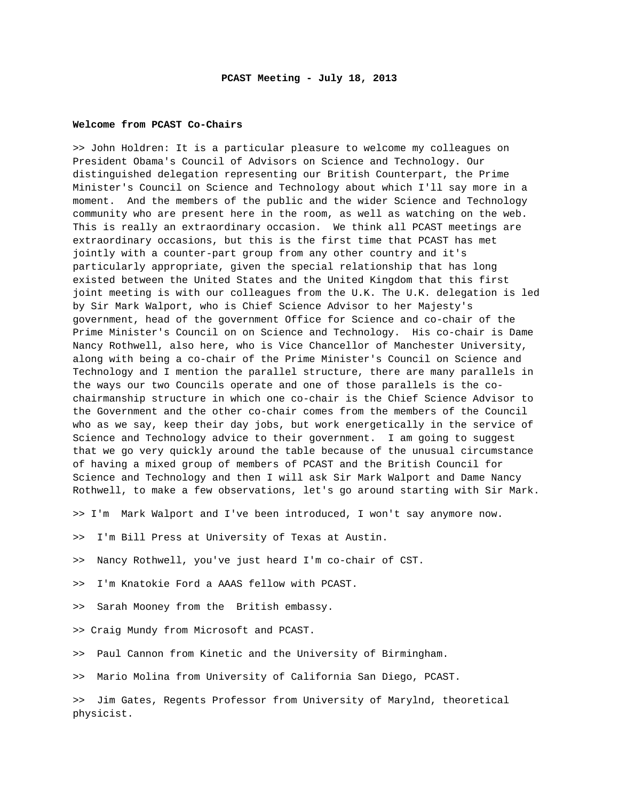## **Welcome from PCAST Co-Chairs**

>> John Holdren: It is a particular pleasure to welcome my colleagues on President Obama's Council of Advisors on Science and Technology. Our distinguished delegation representing our British Counterpart, the Prime Minister's Council on Science and Technology about which I'll say more in a moment. And the members of the public and the wider Science and Technology community who are present here in the room, as well as watching on the web. This is really an extraordinary occasion. We think all PCAST meetings are extraordinary occasions, but this is the first time that PCAST has met jointly with a counter-part group from any other country and it's particularly appropriate, given the special relationship that has long existed between the United States and the United Kingdom that this first joint meeting is with our colleagues from the U.K. The U.K. delegation is led by Sir Mark Walport, who is Chief Science Advisor to her Majesty's government, head of the government Office for Science and co-chair of the Prime Minister's Council on on Science and Technology. His co-chair is Dame Nancy Rothwell, also here, who is Vice Chancellor of Manchester University, along with being a co-chair of the Prime Minister's Council on Science and Technology and I mention the parallel structure, there are many parallels in the ways our two Councils operate and one of those parallels is the cochairmanship structure in which one co-chair is the Chief Science Advisor to the Government and the other co-chair comes from the members of the Council who as we say, keep their day jobs, but work energetically in the service of Science and Technology advice to their government. I am going to suggest that we go very quickly around the table because of the unusual circumstance of having a mixed group of members of PCAST and the British Council for Science and Technology and then I will ask Sir Mark Walport and Dame Nancy Rothwell, to make a few observations, let's go around starting with Sir Mark.

>> I'm Mark Walport and I've been introduced, I won't say anymore now.

- >> I'm Bill Press at University of Texas at Austin.
- >> Nancy Rothwell, you've just heard I'm co-chair of CST.
- >> I'm Knatokie Ford a AAAS fellow with PCAST.
- >> Sarah Mooney from the British embassy.
- >> Craig Mundy from Microsoft and PCAST.
- >> Paul Cannon from Kinetic and the University of Birmingham.

>> Mario Molina from University of California San Diego, PCAST.

>> Jim Gates, Regents Professor from University of Marylnd, theoretical physicist.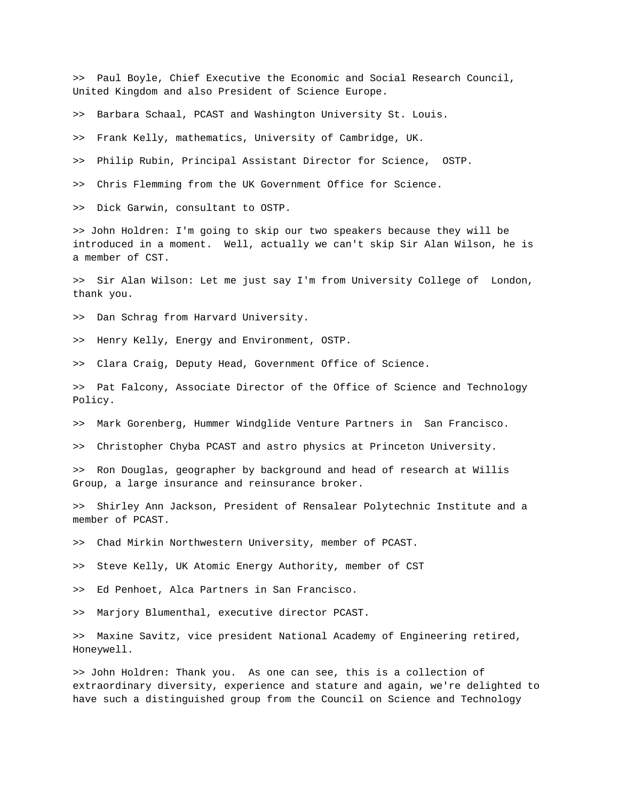>> Paul Boyle, Chief Executive the Economic and Social Research Council, United Kingdom and also President of Science Europe.

>> Barbara Schaal, PCAST and Washington University St. Louis.

>> Frank Kelly, mathematics, University of Cambridge, UK.

>> Philip Rubin, Principal Assistant Director for Science, OSTP.

>> Chris Flemming from the UK Government Office for Science.

>> Dick Garwin, consultant to OSTP.

>> John Holdren: I'm going to skip our two speakers because they will be introduced in a moment. Well, actually we can't skip Sir Alan Wilson, he is a member of CST.

>> Sir Alan Wilson: Let me just say I'm from University College of London, thank you.

>> Dan Schrag from Harvard University.

>> Henry Kelly, Energy and Environment, OSTP.

>> Clara Craig, Deputy Head, Government Office of Science.

>> Pat Falcony, Associate Director of the Office of Science and Technology Policy.

>> Mark Gorenberg, Hummer Windglide Venture Partners in San Francisco.

>> Christopher Chyba PCAST and astro physics at Princeton University.

>> Ron Douglas, geographer by background and head of research at Willis Group, a large insurance and reinsurance broker.

>> Shirley Ann Jackson, President of Rensalear Polytechnic Institute and a member of PCAST.

>> Chad Mirkin Northwestern University, member of PCAST.

>> Steve Kelly, UK Atomic Energy Authority, member of CST

>> Ed Penhoet, Alca Partners in San Francisco.

>> Marjory Blumenthal, executive director PCAST.

>> Maxine Savitz, vice president National Academy of Engineering retired, Honeywell.

>> John Holdren: Thank you. As one can see, this is a collection of extraordinary diversity, experience and stature and again, we're delighted to have such a distinguished group from the Council on Science and Technology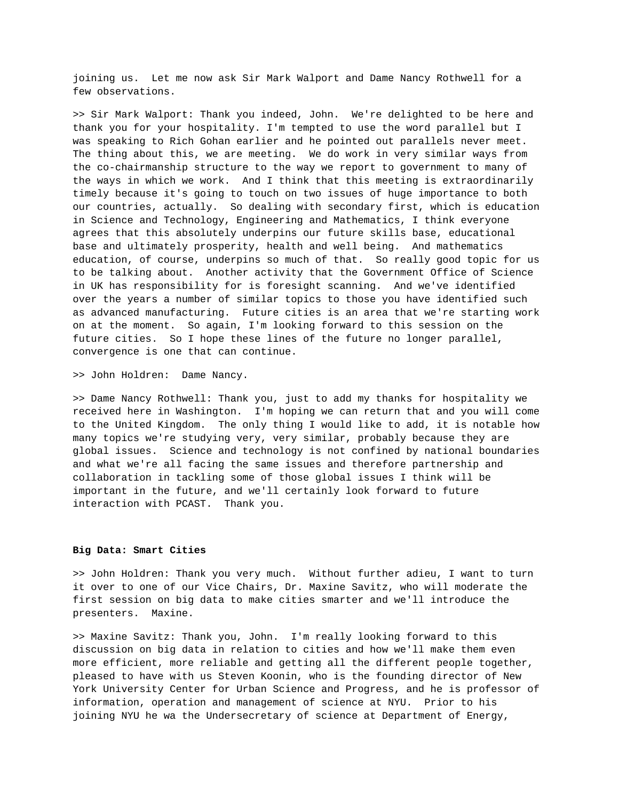joining us. Let me now ask Sir Mark Walport and Dame Nancy Rothwell for a few observations.

>> Sir Mark Walport: Thank you indeed, John. We're delighted to be here and thank you for your hospitality. I'm tempted to use the word parallel but I was speaking to Rich Gohan earlier and he pointed out parallels never meet. The thing about this, we are meeting. We do work in very similar ways from the co-chairmanship structure to the way we report to government to many of the ways in which we work. And I think that this meeting is extraordinarily timely because it's going to touch on two issues of huge importance to both our countries, actually. So dealing with secondary first, which is education in Science and Technology, Engineering and Mathematics, I think everyone agrees that this absolutely underpins our future skills base, educational base and ultimately prosperity, health and well being. And mathematics education, of course, underpins so much of that. So really good topic for us to be talking about. Another activity that the Government Office of Science in UK has responsibility for is foresight scanning. And we've identified over the years a number of similar topics to those you have identified such as advanced manufacturing. Future cities is an area that we're starting work on at the moment. So again, I'm looking forward to this session on the future cities. So I hope these lines of the future no longer parallel, convergence is one that can continue.

>> John Holdren: Dame Nancy.

>> Dame Nancy Rothwell: Thank you, just to add my thanks for hospitality we received here in Washington. I'm hoping we can return that and you will come to the United Kingdom. The only thing I would like to add, it is notable how many topics we're studying very, very similar, probably because they are global issues. Science and technology is not confined by national boundaries and what we're all facing the same issues and therefore partnership and collaboration in tackling some of those global issues I think will be important in the future, and we'll certainly look forward to future interaction with PCAST. Thank you.

## **Big Data: Smart Cities**

>> John Holdren: Thank you very much. Without further adieu, I want to turn it over to one of our Vice Chairs, Dr. Maxine Savitz, who will moderate the first session on big data to make cities smarter and we'll introduce the presenters. Maxine.

>> Maxine Savitz: Thank you, John. I'm really looking forward to this discussion on big data in relation to cities and how we'll make them even more efficient, more reliable and getting all the different people together, pleased to have with us Steven Koonin, who is the founding director of New York University Center for Urban Science and Progress, and he is professor of information, operation and management of science at NYU. Prior to his joining NYU he wa the Undersecretary of science at Department of Energy,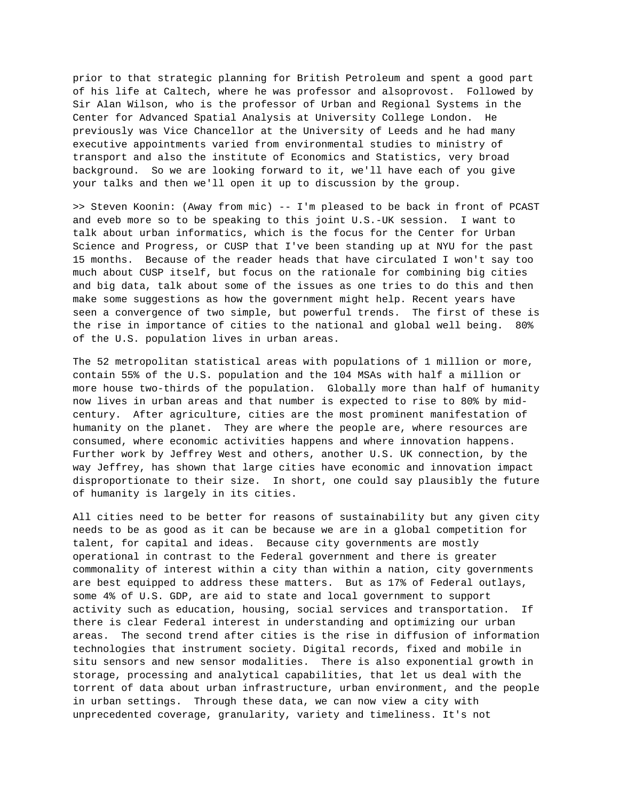prior to that strategic planning for British Petroleum and spent a good part of his life at Caltech, where he was professor and alsoprovost. Followed by Sir Alan Wilson, who is the professor of Urban and Regional Systems in the Center for Advanced Spatial Analysis at University College London. He previously was Vice Chancellor at the University of Leeds and he had many executive appointments varied from environmental studies to ministry of transport and also the institute of Economics and Statistics, very broad background. So we are looking forward to it, we'll have each of you give your talks and then we'll open it up to discussion by the group.

>> Steven Koonin: (Away from mic) -- I'm pleased to be back in front of PCAST and eveb more so to be speaking to this joint U.S.-UK session. I want to talk about urban informatics, which is the focus for the Center for Urban Science and Progress, or CUSP that I've been standing up at NYU for the past 15 months. Because of the reader heads that have circulated I won't say too much about CUSP itself, but focus on the rationale for combining big cities and big data, talk about some of the issues as one tries to do this and then make some suggestions as how the government might help. Recent years have seen a convergence of two simple, but powerful trends. The first of these is the rise in importance of cities to the national and global well being. 80% of the U.S. population lives in urban areas.

The 52 metropolitan statistical areas with populations of 1 million or more, contain 55% of the U.S. population and the 104 MSAs with half a million or more house two-thirds of the population. Globally more than half of humanity now lives in urban areas and that number is expected to rise to 80% by midcentury. After agriculture, cities are the most prominent manifestation of humanity on the planet. They are where the people are, where resources are consumed, where economic activities happens and where innovation happens. Further work by Jeffrey West and others, another U.S. UK connection, by the way Jeffrey, has shown that large cities have economic and innovation impact disproportionate to their size. In short, one could say plausibly the future of humanity is largely in its cities.

All cities need to be better for reasons of sustainability but any given city needs to be as good as it can be because we are in a global competition for talent, for capital and ideas. Because city governments are mostly operational in contrast to the Federal government and there is greater commonality of interest within a city than within a nation, city governments are best equipped to address these matters. But as 17% of Federal outlays, some 4% of U.S. GDP, are aid to state and local government to support activity such as education, housing, social services and transportation. If there is clear Federal interest in understanding and optimizing our urban areas. The second trend after cities is the rise in diffusion of information technologies that instrument society. Digital records, fixed and mobile in situ sensors and new sensor modalities. There is also exponential growth in storage, processing and analytical capabilities, that let us deal with the torrent of data about urban infrastructure, urban environment, and the people in urban settings. Through these data, we can now view a city with unprecedented coverage, granularity, variety and timeliness. It's not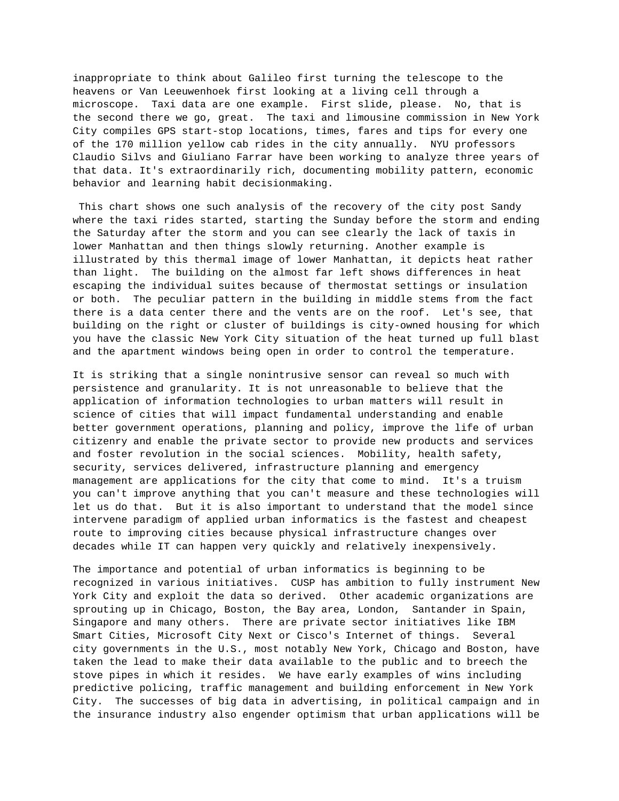inappropriate to think about Galileo first turning the telescope to the heavens or Van Leeuwenhoek first looking at a living cell through a microscope. Taxi data are one example. First slide, please. No, that is the second there we go, great. The taxi and limousine commission in New York City compiles GPS start-stop locations, times, fares and tips for every one of the 170 million yellow cab rides in the city annually. NYU professors Claudio Silvs and Giuliano Farrar have been working to analyze three years of that data. It's extraordinarily rich, documenting mobility pattern, economic behavior and learning habit decisionmaking.

 This chart shows one such analysis of the recovery of the city post Sandy where the taxi rides started, starting the Sunday before the storm and ending the Saturday after the storm and you can see clearly the lack of taxis in lower Manhattan and then things slowly returning. Another example is illustrated by this thermal image of lower Manhattan, it depicts heat rather than light. The building on the almost far left shows differences in heat escaping the individual suites because of thermostat settings or insulation or both. The peculiar pattern in the building in middle stems from the fact there is a data center there and the vents are on the roof. Let's see, that building on the right or cluster of buildings is city-owned housing for which you have the classic New York City situation of the heat turned up full blast and the apartment windows being open in order to control the temperature.

It is striking that a single nonintrusive sensor can reveal so much with persistence and granularity. It is not unreasonable to believe that the application of information technologies to urban matters will result in science of cities that will impact fundamental understanding and enable better government operations, planning and policy, improve the life of urban citizenry and enable the private sector to provide new products and services and foster revolution in the social sciences. Mobility, health safety, security, services delivered, infrastructure planning and emergency management are applications for the city that come to mind. It's a truism you can't improve anything that you can't measure and these technologies will let us do that. But it is also important to understand that the model since intervene paradigm of applied urban informatics is the fastest and cheapest route to improving cities because physical infrastructure changes over decades while IT can happen very quickly and relatively inexpensively.

The importance and potential of urban informatics is beginning to be recognized in various initiatives. CUSP has ambition to fully instrument New York City and exploit the data so derived. Other academic organizations are sprouting up in Chicago, Boston, the Bay area, London, Santander in Spain, Singapore and many others. There are private sector initiatives like IBM Smart Cities, Microsoft City Next or Cisco's Internet of things. Several city governments in the U.S., most notably New York, Chicago and Boston, have taken the lead to make their data available to the public and to breech the stove pipes in which it resides. We have early examples of wins including predictive policing, traffic management and building enforcement in New York City. The successes of big data in advertising, in political campaign and in the insurance industry also engender optimism that urban applications will be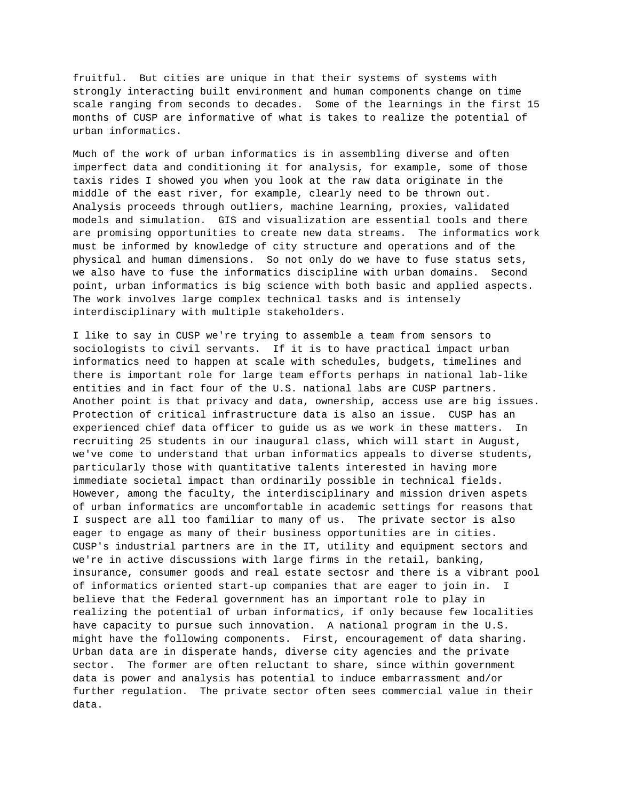fruitful. But cities are unique in that their systems of systems with strongly interacting built environment and human components change on time scale ranging from seconds to decades. Some of the learnings in the first 15 months of CUSP are informative of what is takes to realize the potential of urban informatics.

Much of the work of urban informatics is in assembling diverse and often imperfect data and conditioning it for analysis, for example, some of those taxis rides I showed you when you look at the raw data originate in the middle of the east river, for example, clearly need to be thrown out. Analysis proceeds through outliers, machine learning, proxies, validated models and simulation. GIS and visualization are essential tools and there are promising opportunities to create new data streams. The informatics work must be informed by knowledge of city structure and operations and of the physical and human dimensions. So not only do we have to fuse status sets, we also have to fuse the informatics discipline with urban domains. Second point, urban informatics is big science with both basic and applied aspects. The work involves large complex technical tasks and is intensely interdisciplinary with multiple stakeholders.

I like to say in CUSP we're trying to assemble a team from sensors to sociologists to civil servants. If it is to have practical impact urban informatics need to happen at scale with schedules, budgets, timelines and there is important role for large team efforts perhaps in national lab-like entities and in fact four of the U.S. national labs are CUSP partners. Another point is that privacy and data, ownership, access use are big issues. Protection of critical infrastructure data is also an issue. CUSP has an experienced chief data officer to guide us as we work in these matters. In recruiting 25 students in our inaugural class, which will start in August, we've come to understand that urban informatics appeals to diverse students, particularly those with quantitative talents interested in having more immediate societal impact than ordinarily possible in technical fields. However, among the faculty, the interdisciplinary and mission driven aspets of urban informatics are uncomfortable in academic settings for reasons that I suspect are all too familiar to many of us. The private sector is also eager to engage as many of their business opportunities are in cities. CUSP's industrial partners are in the IT, utility and equipment sectors and we're in active discussions with large firms in the retail, banking, insurance, consumer goods and real estate sectosr and there is a vibrant pool of informatics oriented start-up companies that are eager to join in. I believe that the Federal government has an important role to play in realizing the potential of urban informatics, if only because few localities have capacity to pursue such innovation. A national program in the U.S. might have the following components. First, encouragement of data sharing. Urban data are in disperate hands, diverse city agencies and the private sector. The former are often reluctant to share, since within government data is power and analysis has potential to induce embarrassment and/or further regulation. The private sector often sees commercial value in their data.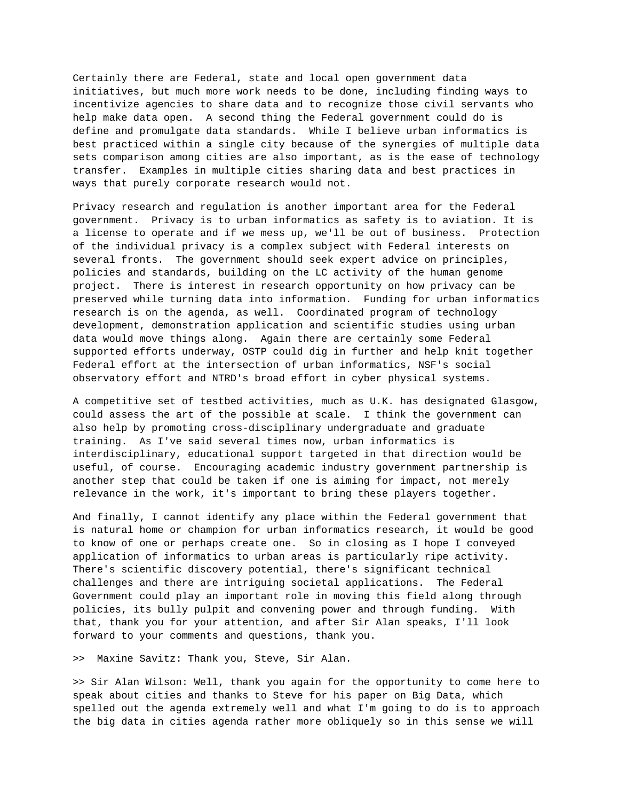Certainly there are Federal, state and local open government data initiatives, but much more work needs to be done, including finding ways to incentivize agencies to share data and to recognize those civil servants who help make data open. A second thing the Federal government could do is define and promulgate data standards. While I believe urban informatics is best practiced within a single city because of the synergies of multiple data sets comparison among cities are also important, as is the ease of technology transfer. Examples in multiple cities sharing data and best practices in ways that purely corporate research would not.

Privacy research and regulation is another important area for the Federal government. Privacy is to urban informatics as safety is to aviation. It is a license to operate and if we mess up, we'll be out of business. Protection of the individual privacy is a complex subject with Federal interests on several fronts. The government should seek expert advice on principles, policies and standards, building on the LC activity of the human genome project. There is interest in research opportunity on how privacy can be preserved while turning data into information. Funding for urban informatics research is on the agenda, as well. Coordinated program of technology development, demonstration application and scientific studies using urban data would move things along. Again there are certainly some Federal supported efforts underway, OSTP could dig in further and help knit together Federal effort at the intersection of urban informatics, NSF's social observatory effort and NTRD's broad effort in cyber physical systems.

A competitive set of testbed activities, much as U.K. has designated Glasgow, could assess the art of the possible at scale. I think the government can also help by promoting cross-disciplinary undergraduate and graduate training. As I've said several times now, urban informatics is interdisciplinary, educational support targeted in that direction would be useful, of course. Encouraging academic industry government partnership is another step that could be taken if one is aiming for impact, not merely relevance in the work, it's important to bring these players together.

And finally, I cannot identify any place within the Federal government that is natural home or champion for urban informatics research, it would be good to know of one or perhaps create one. So in closing as I hope I conveyed application of informatics to urban areas is particularly ripe activity. There's scientific discovery potential, there's significant technical challenges and there are intriguing societal applications. The Federal Government could play an important role in moving this field along through policies, its bully pulpit and convening power and through funding. With that, thank you for your attention, and after Sir Alan speaks, I'll look forward to your comments and questions, thank you.

>> Maxine Savitz: Thank you, Steve, Sir Alan.

>> Sir Alan Wilson: Well, thank you again for the opportunity to come here to speak about cities and thanks to Steve for his paper on Big Data, which spelled out the agenda extremely well and what I'm going to do is to approach the big data in cities agenda rather more obliquely so in this sense we will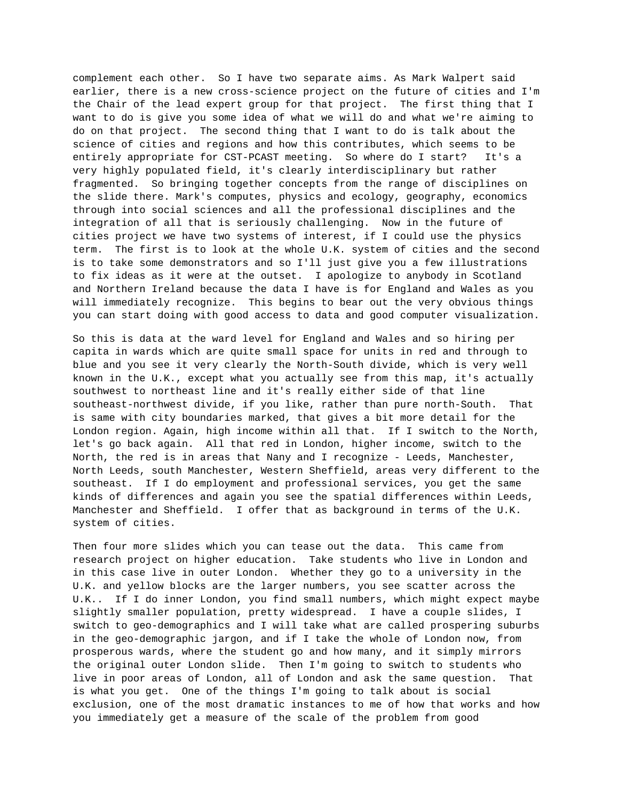complement each other. So I have two separate aims. As Mark Walpert said earlier, there is a new cross-science project on the future of cities and I'm the Chair of the lead expert group for that project. The first thing that I want to do is give you some idea of what we will do and what we're aiming to do on that project. The second thing that I want to do is talk about the science of cities and regions and how this contributes, which seems to be entirely appropriate for CST-PCAST meeting. So where do I start? It's a very highly populated field, it's clearly interdisciplinary but rather fragmented. So bringing together concepts from the range of disciplines on the slide there. Mark's computes, physics and ecology, geography, economics through into social sciences and all the professional disciplines and the integration of all that is seriously challenging. Now in the future of cities project we have two systems of interest, if I could use the physics term. The first is to look at the whole U.K. system of cities and the second is to take some demonstrators and so I'll just give you a few illustrations to fix ideas as it were at the outset. I apologize to anybody in Scotland and Northern Ireland because the data I have is for England and Wales as you will immediately recognize. This begins to bear out the very obvious things you can start doing with good access to data and good computer visualization.

So this is data at the ward level for England and Wales and so hiring per capita in wards which are quite small space for units in red and through to blue and you see it very clearly the North-South divide, which is very well known in the U.K., except what you actually see from this map, it's actually southwest to northeast line and it's really either side of that line southeast-northwest divide, if you like, rather than pure north-South. That is same with city boundaries marked, that gives a bit more detail for the London region. Again, high income within all that. If I switch to the North, let's go back again. All that red in London, higher income, switch to the North, the red is in areas that Nany and I recognize - Leeds, Manchester, North Leeds, south Manchester, Western Sheffield, areas very different to the southeast. If I do employment and professional services, you get the same kinds of differences and again you see the spatial differences within Leeds, Manchester and Sheffield. I offer that as background in terms of the U.K. system of cities.

Then four more slides which you can tease out the data. This came from research project on higher education. Take students who live in London and in this case live in outer London. Whether they go to a university in the U.K. and yellow blocks are the larger numbers, you see scatter across the U.K.. If I do inner London, you find small numbers, which might expect maybe slightly smaller population, pretty widespread. I have a couple slides, I switch to geo-demographics and I will take what are called prospering suburbs in the geo-demographic jargon, and if I take the whole of London now, from prosperous wards, where the student go and how many, and it simply mirrors the original outer London slide. Then I'm going to switch to students who live in poor areas of London, all of London and ask the same question. That is what you get. One of the things I'm going to talk about is social exclusion, one of the most dramatic instances to me of how that works and how you immediately get a measure of the scale of the problem from good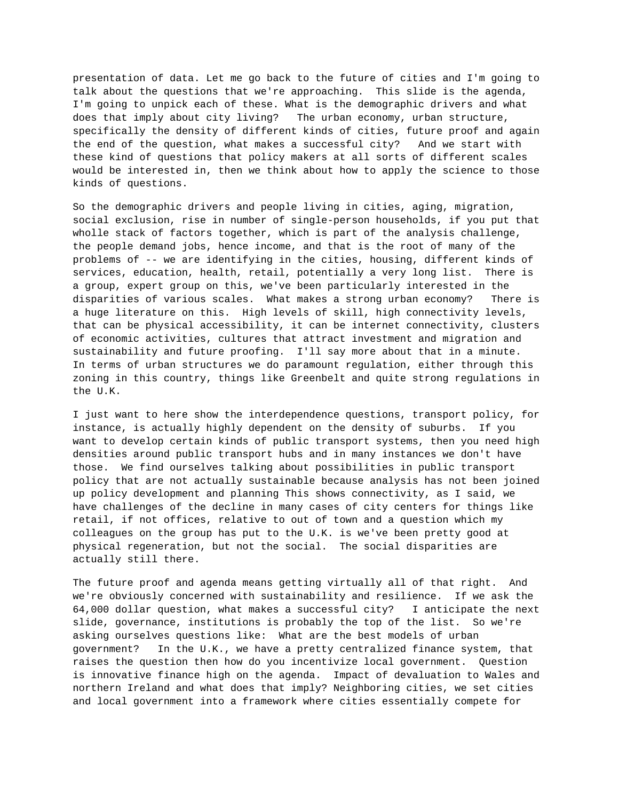presentation of data. Let me go back to the future of cities and I'm going to talk about the questions that we're approaching. This slide is the agenda, I'm going to unpick each of these. What is the demographic drivers and what does that imply about city living? The urban economy, urban structure, specifically the density of different kinds of cities, future proof and again the end of the question, what makes a successful city? And we start with these kind of questions that policy makers at all sorts of different scales would be interested in, then we think about how to apply the science to those kinds of questions.

So the demographic drivers and people living in cities, aging, migration, social exclusion, rise in number of single-person households, if you put that wholle stack of factors together, which is part of the analysis challenge, the people demand jobs, hence income, and that is the root of many of the problems of -- we are identifying in the cities, housing, different kinds of services, education, health, retail, potentially a very long list. There is a group, expert group on this, we've been particularly interested in the disparities of various scales. What makes a strong urban economy? There is a huge literature on this. High levels of skill, high connectivity levels, that can be physical accessibility, it can be internet connectivity, clusters of economic activities, cultures that attract investment and migration and sustainability and future proofing. I'll say more about that in a minute. In terms of urban structures we do paramount regulation, either through this zoning in this country, things like Greenbelt and quite strong regulations in the U.K.

I just want to here show the interdependence questions, transport policy, for instance, is actually highly dependent on the density of suburbs. If you want to develop certain kinds of public transport systems, then you need high densities around public transport hubs and in many instances we don't have those. We find ourselves talking about possibilities in public transport policy that are not actually sustainable because analysis has not been joined up policy development and planning This shows connectivity, as I said, we have challenges of the decline in many cases of city centers for things like retail, if not offices, relative to out of town and a question which my colleagues on the group has put to the U.K. is we've been pretty good at physical regeneration, but not the social. The social disparities are actually still there.

The future proof and agenda means getting virtually all of that right. And we're obviously concerned with sustainability and resilience. If we ask the 64,000 dollar question, what makes a successful city? I anticipate the next slide, governance, institutions is probably the top of the list. So we're asking ourselves questions like: What are the best models of urban government? In the U.K., we have a pretty centralized finance system, that raises the question then how do you incentivize local government. Question is innovative finance high on the agenda. Impact of devaluation to Wales and northern Ireland and what does that imply? Neighboring cities, we set cities and local government into a framework where cities essentially compete for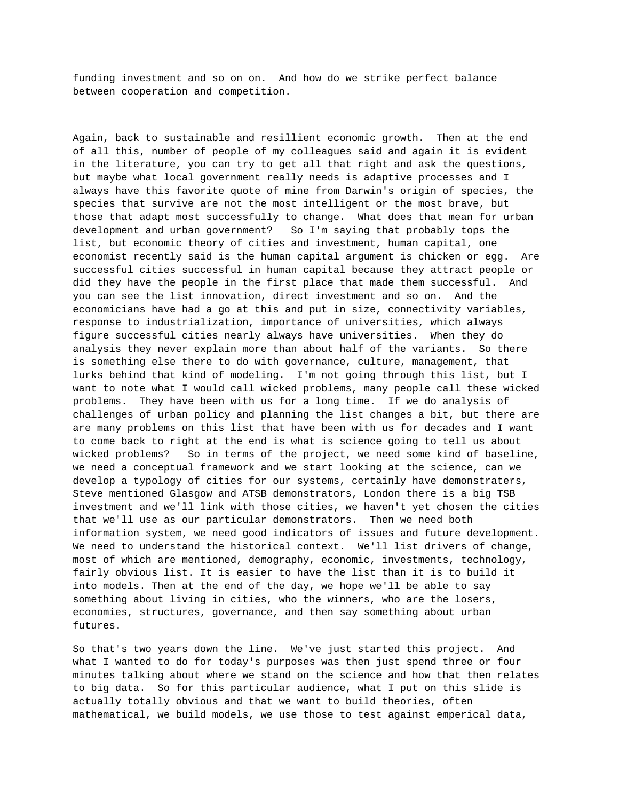funding investment and so on on. And how do we strike perfect balance between cooperation and competition.

Again, back to sustainable and resillient economic growth. Then at the end of all this, number of people of my colleagues said and again it is evident in the literature, you can try to get all that right and ask the questions, but maybe what local government really needs is adaptive processes and I always have this favorite quote of mine from Darwin's origin of species, the species that survive are not the most intelligent or the most brave, but those that adapt most successfully to change. What does that mean for urban development and urban government? So I'm saying that probably tops the list, but economic theory of cities and investment, human capital, one economist recently said is the human capital argument is chicken or egg. Are successful cities successful in human capital because they attract people or did they have the people in the first place that made them successful. And you can see the list innovation, direct investment and so on. And the economicians have had a go at this and put in size, connectivity variables, response to industrialization, importance of universities, which always figure successful cities nearly always have universities. When they do analysis they never explain more than about half of the variants. So there is something else there to do with governance, culture, management, that lurks behind that kind of modeling. I'm not going through this list, but I want to note what I would call wicked problems, many people call these wicked problems. They have been with us for a long time. If we do analysis of challenges of urban policy and planning the list changes a bit, but there are are many problems on this list that have been with us for decades and I want to come back to right at the end is what is science going to tell us about wicked problems? So in terms of the project, we need some kind of baseline, we need a conceptual framework and we start looking at the science, can we develop a typology of cities for our systems, certainly have demonstraters, Steve mentioned Glasgow and ATSB demonstrators, London there is a big TSB investment and we'll link with those cities, we haven't yet chosen the cities that we'll use as our particular demonstrators. Then we need both information system, we need good indicators of issues and future development. We need to understand the historical context. We'll list drivers of change, most of which are mentioned, demography, economic, investments, technology, fairly obvious list. It is easier to have the list than it is to build it into models. Then at the end of the day, we hope we'll be able to say something about living in cities, who the winners, who are the losers, economies, structures, governance, and then say something about urban futures.

So that's two years down the line. We've just started this project. And what I wanted to do for today's purposes was then just spend three or four minutes talking about where we stand on the science and how that then relates to big data. So for this particular audience, what I put on this slide is actually totally obvious and that we want to build theories, often mathematical, we build models, we use those to test against emperical data,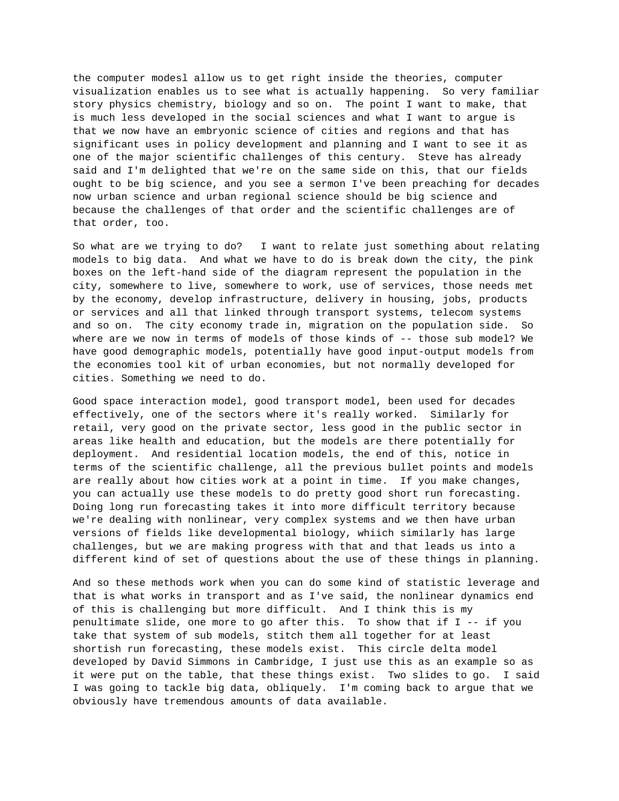the computer modesl allow us to get right inside the theories, computer visualization enables us to see what is actually happening. So very familiar story physics chemistry, biology and so on. The point I want to make, that is much less developed in the social sciences and what I want to argue is that we now have an embryonic science of cities and regions and that has significant uses in policy development and planning and I want to see it as one of the major scientific challenges of this century. Steve has already said and I'm delighted that we're on the same side on this, that our fields ought to be big science, and you see a sermon I've been preaching for decades now urban science and urban regional science should be big science and because the challenges of that order and the scientific challenges are of that order, too.

So what are we trying to do? I want to relate just something about relating models to big data. And what we have to do is break down the city, the pink boxes on the left-hand side of the diagram represent the population in the city, somewhere to live, somewhere to work, use of services, those needs met by the economy, develop infrastructure, delivery in housing, jobs, products or services and all that linked through transport systems, telecom systems and so on. The city economy trade in, migration on the population side. So where are we now in terms of models of those kinds of -- those sub model? We have good demographic models, potentially have good input-output models from the economies tool kit of urban economies, but not normally developed for cities. Something we need to do.

Good space interaction model, good transport model, been used for decades effectively, one of the sectors where it's really worked. Similarly for retail, very good on the private sector, less good in the public sector in areas like health and education, but the models are there potentially for deployment. And residential location models, the end of this, notice in terms of the scientific challenge, all the previous bullet points and models are really about how cities work at a point in time. If you make changes, you can actually use these models to do pretty good short run forecasting. Doing long run forecasting takes it into more difficult territory because we're dealing with nonlinear, very complex systems and we then have urban versions of fields like developmental biology, whiich similarly has large challenges, but we are making progress with that and that leads us into a different kind of set of questions about the use of these things in planning.

And so these methods work when you can do some kind of statistic leverage and that is what works in transport and as I've said, the nonlinear dynamics end of this is challenging but more difficult. And I think this is my penultimate slide, one more to go after this. To show that if I -- if you take that system of sub models, stitch them all together for at least shortish run forecasting, these models exist. This circle delta model developed by David Simmons in Cambridge, I just use this as an example so as it were put on the table, that these things exist. Two slides to go. I said I was going to tackle big data, obliquely. I'm coming back to argue that we obviously have tremendous amounts of data available.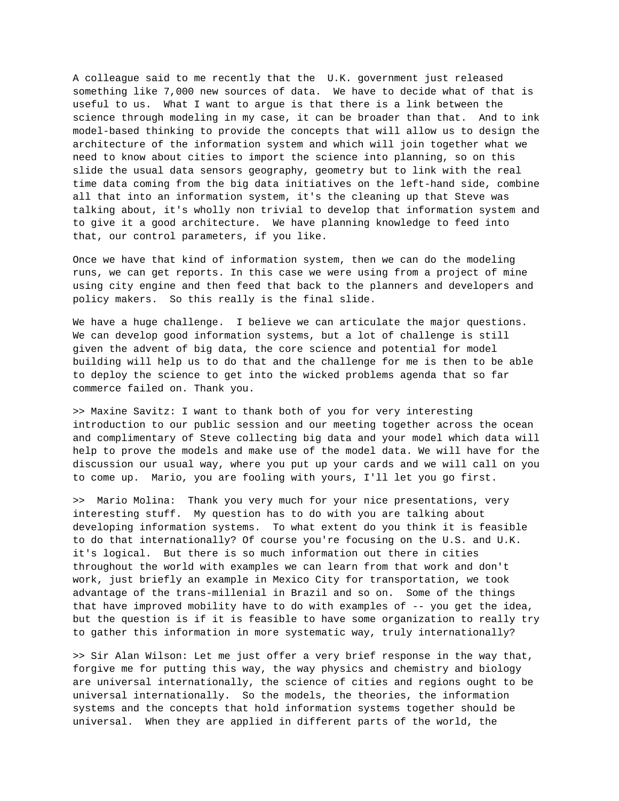A colleague said to me recently that the U.K. government just released something like 7,000 new sources of data. We have to decide what of that is useful to us. What I want to argue is that there is a link between the science through modeling in my case, it can be broader than that. And to ink model-based thinking to provide the concepts that will allow us to design the architecture of the information system and which will join together what we need to know about cities to import the science into planning, so on this slide the usual data sensors geography, geometry but to link with the real time data coming from the big data initiatives on the left-hand side, combine all that into an information system, it's the cleaning up that Steve was talking about, it's wholly non trivial to develop that information system and to give it a good architecture. We have planning knowledge to feed into that, our control parameters, if you like.

Once we have that kind of information system, then we can do the modeling runs, we can get reports. In this case we were using from a project of mine using city engine and then feed that back to the planners and developers and policy makers. So this really is the final slide.

We have a huge challenge. I believe we can articulate the major questions. We can develop good information systems, but a lot of challenge is still given the advent of big data, the core science and potential for model building will help us to do that and the challenge for me is then to be able to deploy the science to get into the wicked problems agenda that so far commerce failed on. Thank you.

>> Maxine Savitz: I want to thank both of you for very interesting introduction to our public session and our meeting together across the ocean and complimentary of Steve collecting big data and your model which data will help to prove the models and make use of the model data. We will have for the discussion our usual way, where you put up your cards and we will call on you to come up. Mario, you are fooling with yours, I'll let you go first.

>> Mario Molina: Thank you very much for your nice presentations, very interesting stuff. My question has to do with you are talking about developing information systems. To what extent do you think it is feasible to do that internationally? Of course you're focusing on the U.S. and U.K. it's logical. But there is so much information out there in cities throughout the world with examples we can learn from that work and don't work, just briefly an example in Mexico City for transportation, we took advantage of the trans-millenial in Brazil and so on. Some of the things that have improved mobility have to do with examples of -- you get the idea, but the question is if it is feasible to have some organization to really try to gather this information in more systematic way, truly internationally?

>> Sir Alan Wilson: Let me just offer a very brief response in the way that, forgive me for putting this way, the way physics and chemistry and biology are universal internationally, the science of cities and regions ought to be universal internationally. So the models, the theories, the information systems and the concepts that hold information systems together should be universal. When they are applied in different parts of the world, the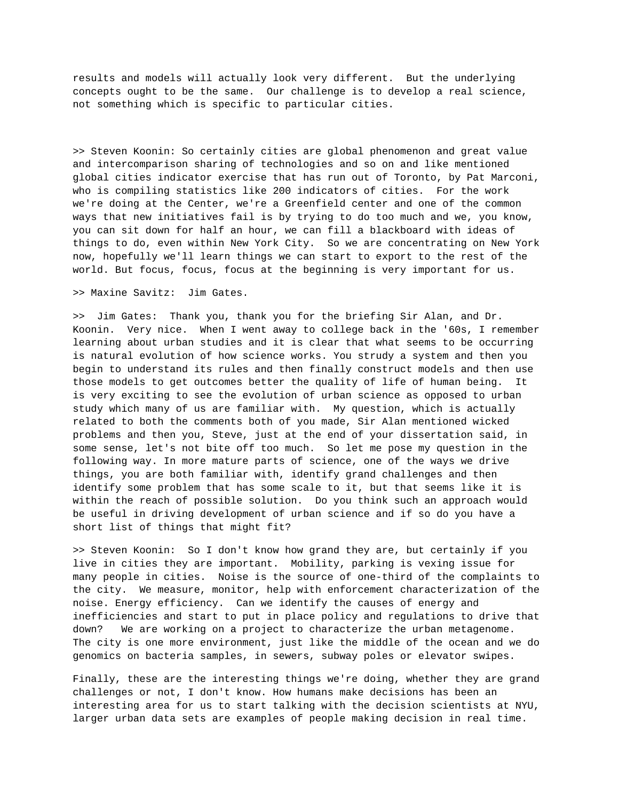results and models will actually look very different. But the underlying concepts ought to be the same. Our challenge is to develop a real science, not something which is specific to particular cities.

>> Steven Koonin: So certainly cities are global phenomenon and great value and intercomparison sharing of technologies and so on and like mentioned global cities indicator exercise that has run out of Toronto, by Pat Marconi, who is compiling statistics like 200 indicators of cities. For the work we're doing at the Center, we're a Greenfield center and one of the common ways that new initiatives fail is by trying to do too much and we, you know, you can sit down for half an hour, we can fill a blackboard with ideas of things to do, even within New York City. So we are concentrating on New York now, hopefully we'll learn things we can start to export to the rest of the world. But focus, focus, focus at the beginning is very important for us.

>> Maxine Savitz: Jim Gates.

>> Jim Gates: Thank you, thank you for the briefing Sir Alan, and Dr. Koonin. Very nice. When I went away to college back in the '60s, I remember learning about urban studies and it is clear that what seems to be occurring is natural evolution of how science works. You strudy a system and then you begin to understand its rules and then finally construct models and then use those models to get outcomes better the quality of life of human being. It is very exciting to see the evolution of urban science as opposed to urban study which many of us are familiar with. My question, which is actually related to both the comments both of you made, Sir Alan mentioned wicked problems and then you, Steve, just at the end of your dissertation said, in some sense, let's not bite off too much. So let me pose my question in the following way. In more mature parts of science, one of the ways we drive things, you are both familiar with, identify grand challenges and then identify some problem that has some scale to it, but that seems like it is within the reach of possible solution. Do you think such an approach would be useful in driving development of urban science and if so do you have a short list of things that might fit?

>> Steven Koonin: So I don't know how grand they are, but certainly if you live in cities they are important. Mobility, parking is vexing issue for many people in cities. Noise is the source of one-third of the complaints to the city. We measure, monitor, help with enforcement characterization of the noise. Energy efficiency. Can we identify the causes of energy and inefficiencies and start to put in place policy and regulations to drive that down? We are working on a project to characterize the urban metagenome. The city is one more environment, just like the middle of the ocean and we do genomics on bacteria samples, in sewers, subway poles or elevator swipes.

Finally, these are the interesting things we're doing, whether they are grand challenges or not, I don't know. How humans make decisions has been an interesting area for us to start talking with the decision scientists at NYU, larger urban data sets are examples of people making decision in real time.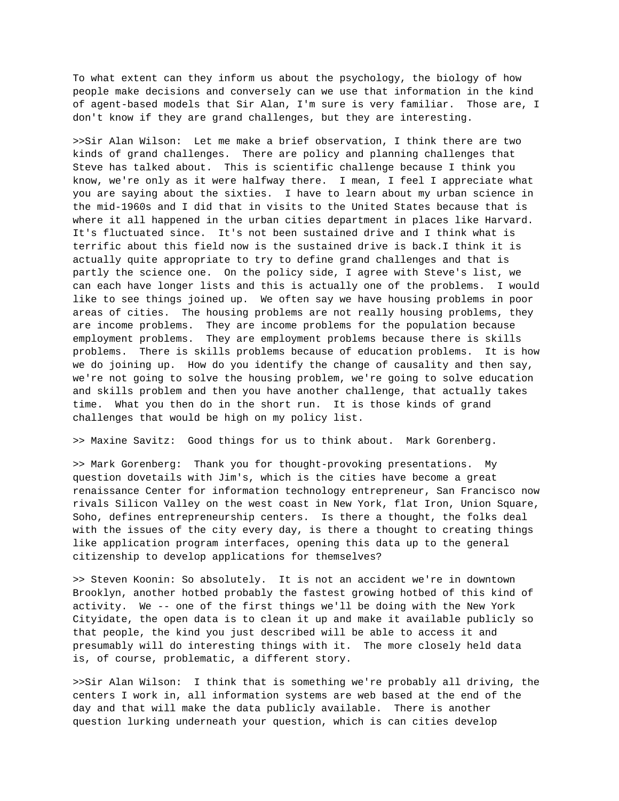To what extent can they inform us about the psychology, the biology of how people make decisions and conversely can we use that information in the kind of agent-based models that Sir Alan, I'm sure is very familiar. Those are, I don't know if they are grand challenges, but they are interesting.

>>Sir Alan Wilson: Let me make a brief observation, I think there are two kinds of grand challenges. There are policy and planning challenges that Steve has talked about. This is scientific challenge because I think you know, we're only as it were halfway there. I mean, I feel I appreciate what you are saying about the sixties. I have to learn about my urban science in the mid-1960s and I did that in visits to the United States because that is where it all happened in the urban cities department in places like Harvard. It's fluctuated since. It's not been sustained drive and I think what is terrific about this field now is the sustained drive is back.I think it is actually quite appropriate to try to define grand challenges and that is partly the science one. On the policy side, I agree with Steve's list, we can each have longer lists and this is actually one of the problems. I would like to see things joined up. We often say we have housing problems in poor areas of cities. The housing problems are not really housing problems, they are income problems. They are income problems for the population because employment problems. They are employment problems because there is skills problems. There is skills problems because of education problems. It is how we do joining up. How do you identify the change of causality and then say, we're not going to solve the housing problem, we're going to solve education and skills problem and then you have another challenge, that actually takes time. What you then do in the short run. It is those kinds of grand challenges that would be high on my policy list.

>> Maxine Savitz: Good things for us to think about. Mark Gorenberg.

>> Mark Gorenberg: Thank you for thought-provoking presentations. My question dovetails with Jim's, which is the cities have become a great renaissance Center for information technology entrepreneur, San Francisco now rivals Silicon Valley on the west coast in New York, flat Iron, Union Square, Soho, defines entrepreneurship centers. Is there a thought, the folks deal with the issues of the city every day, is there a thought to creating things like application program interfaces, opening this data up to the general citizenship to develop applications for themselves?

>> Steven Koonin: So absolutely. It is not an accident we're in downtown Brooklyn, another hotbed probably the fastest growing hotbed of this kind of activity. We -- one of the first things we'll be doing with the New York Cityidate, the open data is to clean it up and make it available publicly so that people, the kind you just described will be able to access it and presumably will do interesting things with it. The more closely held data is, of course, problematic, a different story.

>>Sir Alan Wilson: I think that is something we're probably all driving, the centers I work in, all information systems are web based at the end of the day and that will make the data publicly available. There is another question lurking underneath your question, which is can cities develop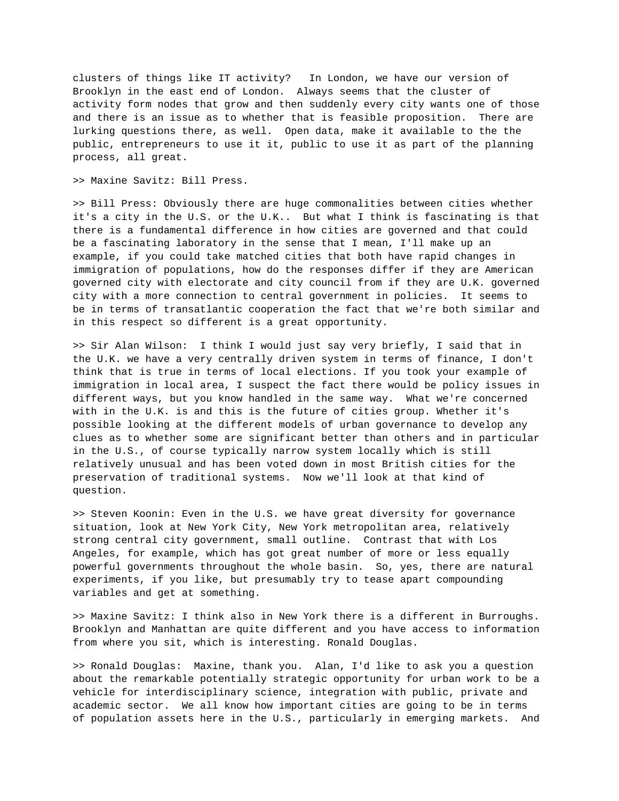clusters of things like IT activity? In London, we have our version of Brooklyn in the east end of London. Always seems that the cluster of activity form nodes that grow and then suddenly every city wants one of those and there is an issue as to whether that is feasible proposition. There are lurking questions there, as well. Open data, make it available to the the public, entrepreneurs to use it it, public to use it as part of the planning process, all great.

>> Maxine Savitz: Bill Press.

>> Bill Press: Obviously there are huge commonalities between cities whether it's a city in the U.S. or the U.K.. But what I think is fascinating is that there is a fundamental difference in how cities are governed and that could be a fascinating laboratory in the sense that I mean, I'll make up an example, if you could take matched cities that both have rapid changes in immigration of populations, how do the responses differ if they are American governed city with electorate and city council from if they are U.K. governed city with a more connection to central government in policies. It seems to be in terms of transatlantic cooperation the fact that we're both similar and in this respect so different is a great opportunity.

>> Sir Alan Wilson: I think I would just say very briefly, I said that in the U.K. we have a very centrally driven system in terms of finance, I don't think that is true in terms of local elections. If you took your example of immigration in local area, I suspect the fact there would be policy issues in different ways, but you know handled in the same way. What we're concerned with in the U.K. is and this is the future of cities group. Whether it's possible looking at the different models of urban governance to develop any clues as to whether some are significant better than others and in particular in the U.S., of course typically narrow system locally which is still relatively unusual and has been voted down in most British cities for the preservation of traditional systems. Now we'll look at that kind of question.

>> Steven Koonin: Even in the U.S. we have great diversity for governance situation, look at New York City, New York metropolitan area, relatively strong central city government, small outline. Contrast that with Los Angeles, for example, which has got great number of more or less equally powerful governments throughout the whole basin. So, yes, there are natural experiments, if you like, but presumably try to tease apart compounding variables and get at something.

>> Maxine Savitz: I think also in New York there is a different in Burroughs. Brooklyn and Manhattan are quite different and you have access to information from where you sit, which is interesting. Ronald Douglas.

>> Ronald Douglas: Maxine, thank you. Alan, I'd like to ask you a question about the remarkable potentially strategic opportunity for urban work to be a vehicle for interdisciplinary science, integration with public, private and academic sector. We all know how important cities are going to be in terms of population assets here in the U.S., particularly in emerging markets. And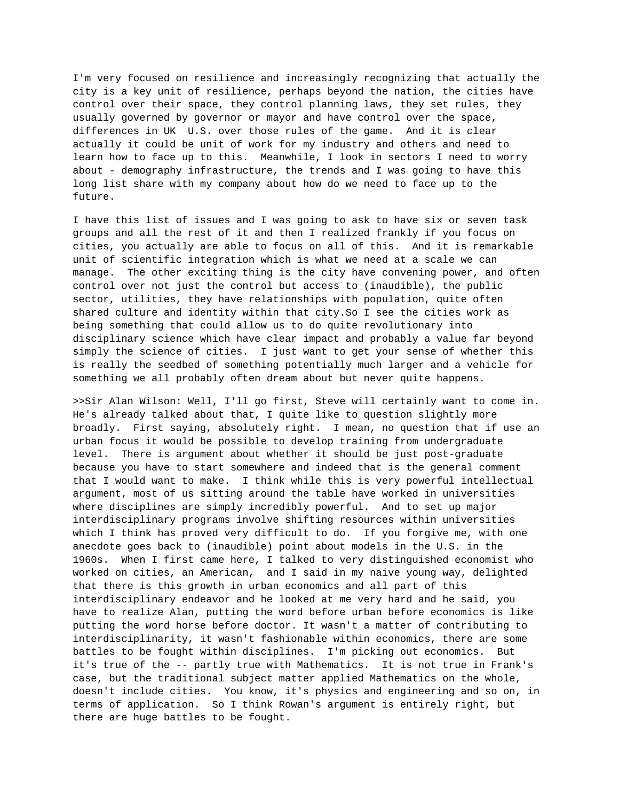I'm very focused on resilience and increasingly recognizing that actually the city is a key unit of resilience, perhaps beyond the nation, the cities have control over their space, they control planning laws, they set rules, they usually governed by governor or mayor and have control over the space, differences in UK U.S. over those rules of the game. And it is clear actually it could be unit of work for my industry and others and need to learn how to face up to this. Meanwhile, I look in sectors I need to worry about - demography infrastructure, the trends and I was going to have this long list share with my company about how do we need to face up to the future.

I have this list of issues and I was going to ask to have six or seven task groups and all the rest of it and then I realized frankly if you focus on cities, you actually are able to focus on all of this. And it is remarkable unit of scientific integration which is what we need at a scale we can manage. The other exciting thing is the city have convening power, and often control over not just the control but access to (inaudible), the public sector, utilities, they have relationships with population, quite often shared culture and identity within that city.So I see the cities work as being something that could allow us to do quite revolutionary into disciplinary science which have clear impact and probably a value far beyond simply the science of cities. I just want to get your sense of whether this is really the seedbed of something potentially much larger and a vehicle for something we all probably often dream about but never quite happens.

>>Sir Alan Wilson: Well, I'll go first, Steve will certainly want to come in. He's already talked about that, I quite like to question slightly more broadly. First saying, absolutely right. I mean, no question that if use an urban focus it would be possible to develop training from undergraduate level. There is argument about whether it should be just post-graduate because you have to start somewhere and indeed that is the general comment that I would want to make. I think while this is very powerful intellectual argument, most of us sitting around the table have worked in universities where disciplines are simply incredibly powerful. And to set up major interdisciplinary programs involve shifting resources within universities which I think has proved very difficult to do. If you forgive me, with one anecdote goes back to (inaudible) point about models in the U.S. in the 1960s. When I first came here, I talked to very distinguished economist who worked on cities, an American, and I said in my naive young way, delighted that there is this growth in urban economics and all part of this interdisciplinary endeavor and he looked at me very hard and he said, you have to realize Alan, putting the word before urban before economics is like putting the word horse before doctor. It wasn't a matter of contributing to interdisciplinarity, it wasn't fashionable within economics, there are some battles to be fought within disciplines. I'm picking out economics. But it's true of the -- partly true with Mathematics. It is not true in Frank's case, but the traditional subject matter applied Mathematics on the whole, doesn't include cities. You know, it's physics and engineering and so on, in terms of application. So I think Rowan's argument is entirely right, but there are huge battles to be fought.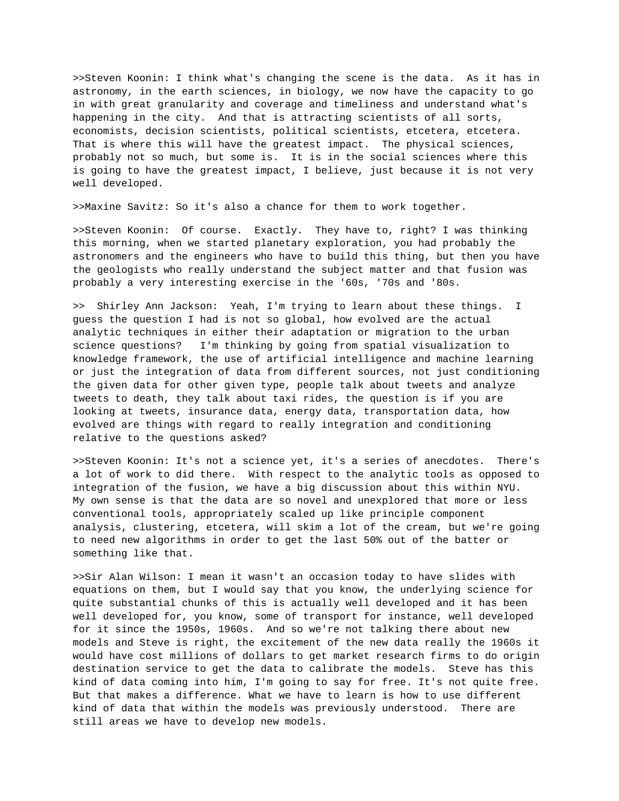>>Steven Koonin: I think what's changing the scene is the data. As it has in astronomy, in the earth sciences, in biology, we now have the capacity to go in with great granularity and coverage and timeliness and understand what's happening in the city. And that is attracting scientists of all sorts, economists, decision scientists, political scientists, etcetera, etcetera. That is where this will have the greatest impact. The physical sciences, probably not so much, but some is. It is in the social sciences where this is going to have the greatest impact, I believe, just because it is not very well developed.

>>Maxine Savitz: So it's also a chance for them to work together.

>>Steven Koonin: Of course. Exactly. They have to, right? I was thinking this morning, when we started planetary exploration, you had probably the astronomers and the engineers who have to build this thing, but then you have the geologists who really understand the subject matter and that fusion was probably a very interesting exercise in the '60s, '70s and '80s.

>> Shirley Ann Jackson: Yeah, I'm trying to learn about these things. I guess the question I had is not so global, how evolved are the actual analytic techniques in either their adaptation or migration to the urban science questions? I'm thinking by going from spatial visualization to knowledge framework, the use of artificial intelligence and machine learning or just the integration of data from different sources, not just conditioning the given data for other given type, people talk about tweets and analyze tweets to death, they talk about taxi rides, the question is if you are looking at tweets, insurance data, energy data, transportation data, how evolved are things with regard to really integration and conditioning relative to the questions asked?

>>Steven Koonin: It's not a science yet, it's a series of anecdotes. There's a lot of work to did there. With respect to the analytic tools as opposed to integration of the fusion, we have a big discussion about this within NYU. My own sense is that the data are so novel and unexplored that more or less conventional tools, appropriately scaled up like principle component analysis, clustering, etcetera, will skim a lot of the cream, but we're going to need new algorithms in order to get the last 50% out of the batter or something like that.

>>Sir Alan Wilson: I mean it wasn't an occasion today to have slides with equations on them, but I would say that you know, the underlying science for quite substantial chunks of this is actually well developed and it has been well developed for, you know, some of transport for instance, well developed for it since the 1950s, 1960s. And so we're not talking there about new models and Steve is right, the excitement of the new data really the 1960s it would have cost millions of dollars to get market research firms to do origin destination service to get the data to calibrate the models. Steve has this kind of data coming into him, I'm going to say for free. It's not quite free. But that makes a difference. What we have to learn is how to use different kind of data that within the models was previously understood. There are still areas we have to develop new models.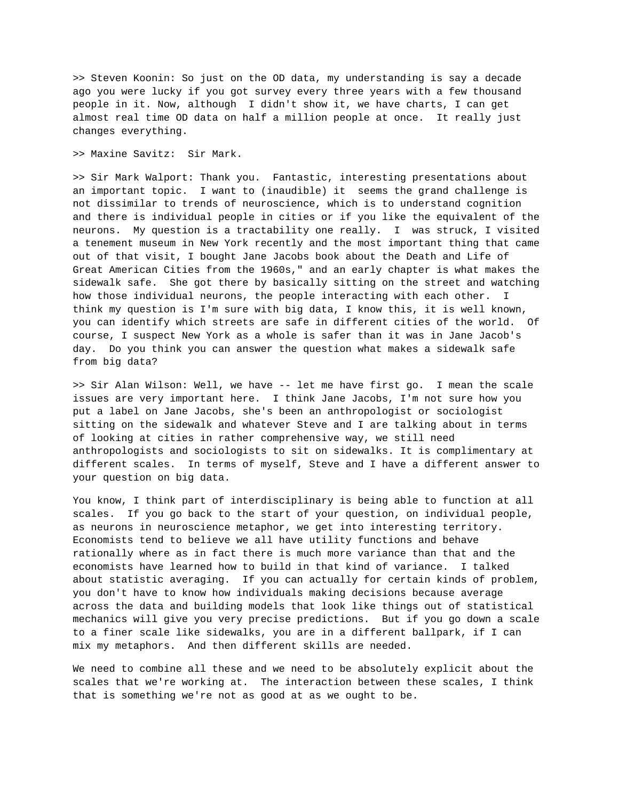>> Steven Koonin: So just on the OD data, my understanding is say a decade ago you were lucky if you got survey every three years with a few thousand people in it. Now, although I didn't show it, we have charts, I can get almost real time OD data on half a million people at once. It really just changes everything.

>> Maxine Savitz: Sir Mark.

>> Sir Mark Walport: Thank you. Fantastic, interesting presentations about an important topic. I want to (inaudible) it seems the grand challenge is not dissimilar to trends of neuroscience, which is to understand cognition and there is individual people in cities or if you like the equivalent of the neurons. My question is a tractability one really. I was struck, I visited a tenement museum in New York recently and the most important thing that came out of that visit, I bought Jane Jacobs book about the Death and Life of Great American Cities from the 1960s," and an early chapter is what makes the sidewalk safe. She got there by basically sitting on the street and watching how those individual neurons, the people interacting with each other. I think my question is I'm sure with big data, I know this, it is well known, you can identify which streets are safe in different cities of the world. Of course, I suspect New York as a whole is safer than it was in Jane Jacob's day. Do you think you can answer the question what makes a sidewalk safe from big data?

>> Sir Alan Wilson: Well, we have -- let me have first go. I mean the scale issues are very important here. I think Jane Jacobs, I'm not sure how you put a label on Jane Jacobs, she's been an anthropologist or sociologist sitting on the sidewalk and whatever Steve and I are talking about in terms of looking at cities in rather comprehensive way, we still need anthropologists and sociologists to sit on sidewalks. It is complimentary at different scales. In terms of myself, Steve and I have a different answer to your question on big data.

You know, I think part of interdisciplinary is being able to function at all scales. If you go back to the start of your question, on individual people, as neurons in neuroscience metaphor, we get into interesting territory. Economists tend to believe we all have utility functions and behave rationally where as in fact there is much more variance than that and the economists have learned how to build in that kind of variance. I talked about statistic averaging. If you can actually for certain kinds of problem, you don't have to know how individuals making decisions because average across the data and building models that look like things out of statistical mechanics will give you very precise predictions. But if you go down a scale to a finer scale like sidewalks, you are in a different ballpark, if I can mix my metaphors. And then different skills are needed.

We need to combine all these and we need to be absolutely explicit about the scales that we're working at. The interaction between these scales, I think that is something we're not as good at as we ought to be.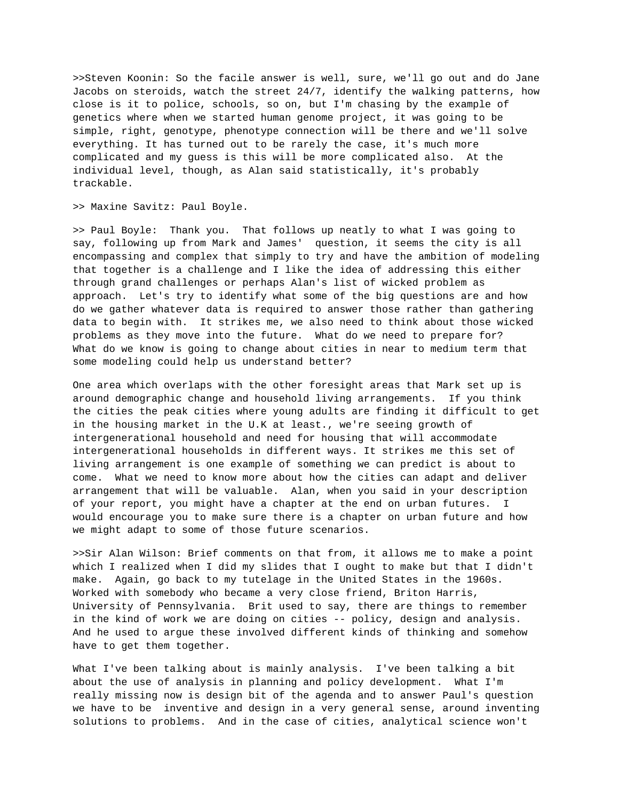>>Steven Koonin: So the facile answer is well, sure, we'll go out and do Jane Jacobs on steroids, watch the street 24/7, identify the walking patterns, how close is it to police, schools, so on, but I'm chasing by the example of genetics where when we started human genome project, it was going to be simple, right, genotype, phenotype connection will be there and we'll solve everything. It has turned out to be rarely the case, it's much more complicated and my guess is this will be more complicated also. At the individual level, though, as Alan said statistically, it's probably trackable.

>> Maxine Savitz: Paul Boyle.

>> Paul Boyle: Thank you. That follows up neatly to what I was going to say, following up from Mark and James' question, it seems the city is all encompassing and complex that simply to try and have the ambition of modeling that together is a challenge and I like the idea of addressing this either through grand challenges or perhaps Alan's list of wicked problem as approach. Let's try to identify what some of the big questions are and how do we gather whatever data is required to answer those rather than gathering data to begin with. It strikes me, we also need to think about those wicked problems as they move into the future. What do we need to prepare for? What do we know is going to change about cities in near to medium term that some modeling could help us understand better?

One area which overlaps with the other foresight areas that Mark set up is around demographic change and household living arrangements. If you think the cities the peak cities where young adults are finding it difficult to get in the housing market in the U.K at least., we're seeing growth of intergenerational household and need for housing that will accommodate intergenerational households in different ways. It strikes me this set of living arrangement is one example of something we can predict is about to come. What we need to know more about how the cities can adapt and deliver arrangement that will be valuable. Alan, when you said in your description of your report, you might have a chapter at the end on urban futures. I would encourage you to make sure there is a chapter on urban future and how we might adapt to some of those future scenarios.

>>Sir Alan Wilson: Brief comments on that from, it allows me to make a point which I realized when I did my slides that I ought to make but that I didn't make. Again, go back to my tutelage in the United States in the 1960s. Worked with somebody who became a very close friend, Briton Harris, University of Pennsylvania. Brit used to say, there are things to remember in the kind of work we are doing on cities -- policy, design and analysis. And he used to argue these involved different kinds of thinking and somehow have to get them together.

What I've been talking about is mainly analysis. I've been talking a bit about the use of analysis in planning and policy development. What I'm really missing now is design bit of the agenda and to answer Paul's question we have to be inventive and design in a very general sense, around inventing solutions to problems. And in the case of cities, analytical science won't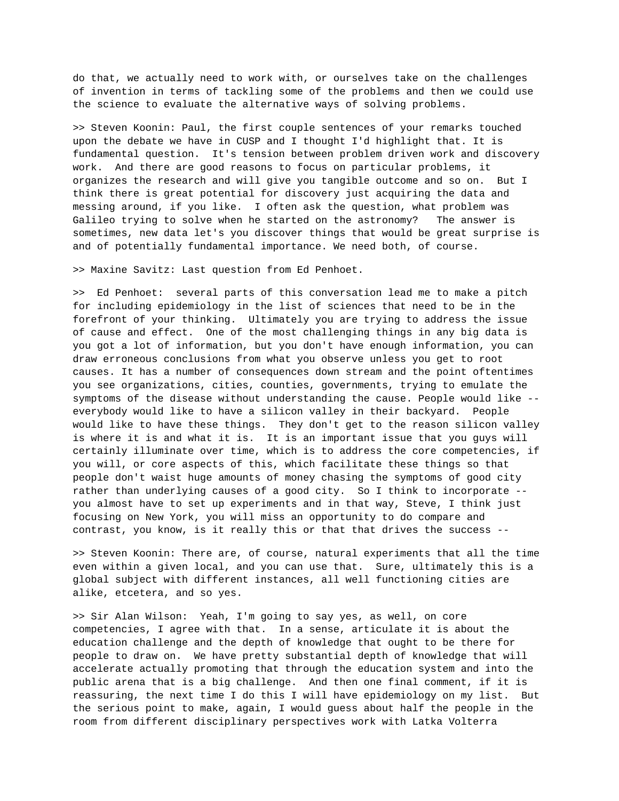do that, we actually need to work with, or ourselves take on the challenges of invention in terms of tackling some of the problems and then we could use the science to evaluate the alternative ways of solving problems.

>> Steven Koonin: Paul, the first couple sentences of your remarks touched upon the debate we have in CUSP and I thought I'd highlight that. It is fundamental question. It's tension between problem driven work and discovery work. And there are good reasons to focus on particular problems, it organizes the research and will give you tangible outcome and so on. But I think there is great potential for discovery just acquiring the data and messing around, if you like. I often ask the question, what problem was Galileo trying to solve when he started on the astronomy? The answer is sometimes, new data let's you discover things that would be great surprise is and of potentially fundamental importance. We need both, of course.

>> Maxine Savitz: Last question from Ed Penhoet.

>> Ed Penhoet: several parts of this conversation lead me to make a pitch for including epidemiology in the list of sciences that need to be in the forefront of your thinking. Ultimately you are trying to address the issue of cause and effect. One of the most challenging things in any big data is you got a lot of information, but you don't have enough information, you can draw erroneous conclusions from what you observe unless you get to root causes. It has a number of consequences down stream and the point oftentimes you see organizations, cities, counties, governments, trying to emulate the symptoms of the disease without understanding the cause. People would like - everybody would like to have a silicon valley in their backyard. People would like to have these things. They don't get to the reason silicon valley is where it is and what it is. It is an important issue that you guys will certainly illuminate over time, which is to address the core competencies, if you will, or core aspects of this, which facilitate these things so that people don't waist huge amounts of money chasing the symptoms of good city rather than underlying causes of a good city. So I think to incorporate - you almost have to set up experiments and in that way, Steve, I think just focusing on New York, you will miss an opportunity to do compare and contrast, you know, is it really this or that that drives the success --

>> Steven Koonin: There are, of course, natural experiments that all the time even within a given local, and you can use that. Sure, ultimately this is a global subject with different instances, all well functioning cities are alike, etcetera, and so yes.

>> Sir Alan Wilson: Yeah, I'm going to say yes, as well, on core competencies, I agree with that. In a sense, articulate it is about the education challenge and the depth of knowledge that ought to be there for people to draw on. We have pretty substantial depth of knowledge that will accelerate actually promoting that through the education system and into the public arena that is a big challenge. And then one final comment, if it is reassuring, the next time I do this I will have epidemiology on my list. But the serious point to make, again, I would guess about half the people in the room from different disciplinary perspectives work with Latka Volterra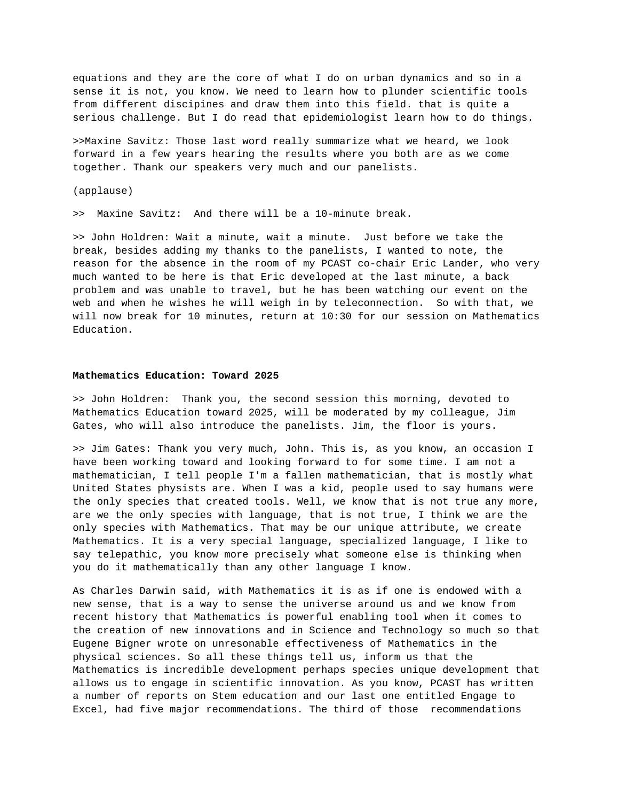equations and they are the core of what I do on urban dynamics and so in a sense it is not, you know. We need to learn how to plunder scientific tools from different discipines and draw them into this field. that is quite a serious challenge. But I do read that epidemiologist learn how to do things.

>>Maxine Savitz: Those last word really summarize what we heard, we look forward in a few years hearing the results where you both are as we come together. Thank our speakers very much and our panelists.

(applause)

>> Maxine Savitz: And there will be a 10-minute break.

>> John Holdren: Wait a minute, wait a minute. Just before we take the break, besides adding my thanks to the panelists, I wanted to note, the reason for the absence in the room of my PCAST co-chair Eric Lander, who very much wanted to be here is that Eric developed at the last minute, a back problem and was unable to travel, but he has been watching our event on the web and when he wishes he will weigh in by teleconnection. So with that, we will now break for 10 minutes, return at 10:30 for our session on Mathematics Education.

## **Mathematics Education: Toward 2025**

>> John Holdren: Thank you, the second session this morning, devoted to Mathematics Education toward 2025, will be moderated by my colleague, Jim Gates, who will also introduce the panelists. Jim, the floor is yours.

>> Jim Gates: Thank you very much, John. This is, as you know, an occasion I have been working toward and looking forward to for some time. I am not a mathematician, I tell people I'm a fallen mathematician, that is mostly what United States physists are. When I was a kid, people used to say humans were the only species that created tools. Well, we know that is not true any more, are we the only species with language, that is not true, I think we are the only species with Mathematics. That may be our unique attribute, we create Mathematics. It is a very special language, specialized language, I like to say telepathic, you know more precisely what someone else is thinking when you do it mathematically than any other language I know.

As Charles Darwin said, with Mathematics it is as if one is endowed with a new sense, that is a way to sense the universe around us and we know from recent history that Mathematics is powerful enabling tool when it comes to the creation of new innovations and in Science and Technology so much so that Eugene Bigner wrote on unresonable effectiveness of Mathematics in the physical sciences. So all these things tell us, inform us that the Mathematics is incredible development perhaps species unique development that allows us to engage in scientific innovation. As you know, PCAST has written a number of reports on Stem education and our last one entitled Engage to Excel, had five major recommendations. The third of those recommendations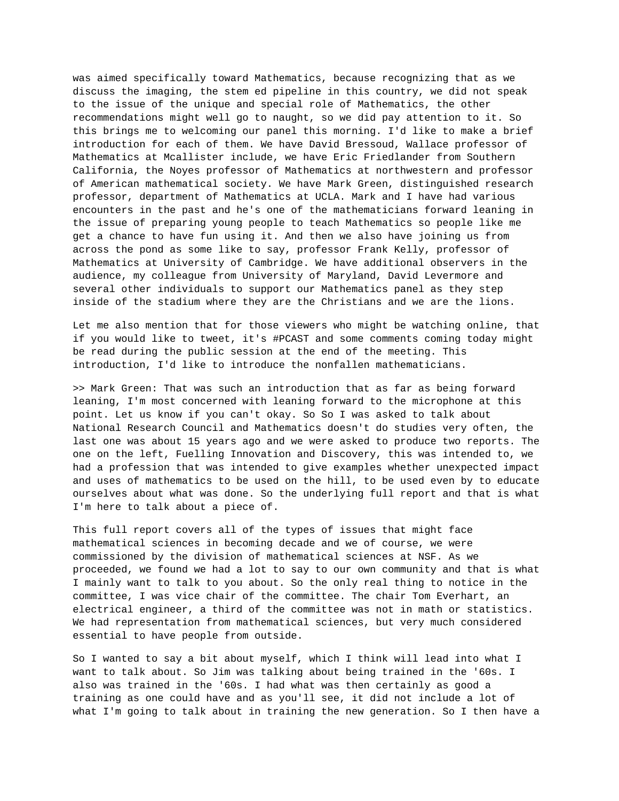was aimed specifically toward Mathematics, because recognizing that as we discuss the imaging, the stem ed pipeline in this country, we did not speak to the issue of the unique and special role of Mathematics, the other recommendations might well go to naught, so we did pay attention to it. So this brings me to welcoming our panel this morning. I'd like to make a brief introduction for each of them. We have David Bressoud, Wallace professor of Mathematics at Mcallister include, we have Eric Friedlander from Southern California, the Noyes professor of Mathematics at northwestern and professor of American mathematical society. We have Mark Green, distinguished research professor, department of Mathematics at UCLA. Mark and I have had various encounters in the past and he's one of the mathematicians forward leaning in the issue of preparing young people to teach Mathematics so people like me get a chance to have fun using it. And then we also have joining us from across the pond as some like to say, professor Frank Kelly, professor of Mathematics at University of Cambridge. We have additional observers in the audience, my colleague from University of Maryland, David Levermore and several other individuals to support our Mathematics panel as they step inside of the stadium where they are the Christians and we are the lions.

Let me also mention that for those viewers who might be watching online, that if you would like to tweet, it's #PCAST and some comments coming today might be read during the public session at the end of the meeting. This introduction, I'd like to introduce the nonfallen mathematicians.

>> Mark Green: That was such an introduction that as far as being forward leaning, I'm most concerned with leaning forward to the microphone at this point. Let us know if you can't okay. So So I was asked to talk about National Research Council and Mathematics doesn't do studies very often, the last one was about 15 years ago and we were asked to produce two reports. The one on the left, Fuelling Innovation and Discovery, this was intended to, we had a profession that was intended to give examples whether unexpected impact and uses of mathematics to be used on the hill, to be used even by to educate ourselves about what was done. So the underlying full report and that is what I'm here to talk about a piece of.

This full report covers all of the types of issues that might face mathematical sciences in becoming decade and we of course, we were commissioned by the division of mathematical sciences at NSF. As we proceeded, we found we had a lot to say to our own community and that is what I mainly want to talk to you about. So the only real thing to notice in the committee, I was vice chair of the committee. The chair Tom Everhart, an electrical engineer, a third of the committee was not in math or statistics. We had representation from mathematical sciences, but very much considered essential to have people from outside.

So I wanted to say a bit about myself, which I think will lead into what I want to talk about. So Jim was talking about being trained in the '60s. I also was trained in the '60s. I had what was then certainly as good a training as one could have and as you'll see, it did not include a lot of what I'm going to talk about in training the new generation. So I then have a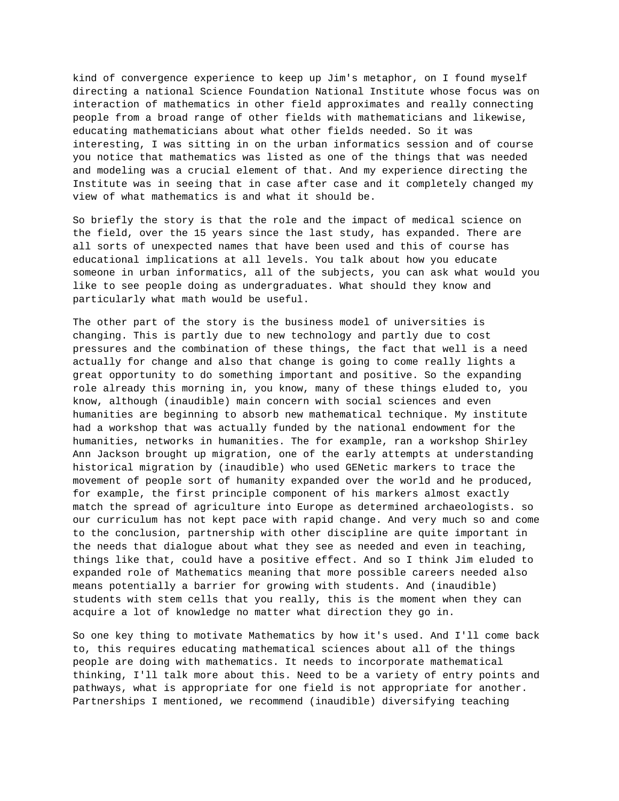kind of convergence experience to keep up Jim's metaphor, on I found myself directing a national Science Foundation National Institute whose focus was on interaction of mathematics in other field approximates and really connecting people from a broad range of other fields with mathematicians and likewise, educating mathematicians about what other fields needed. So it was interesting, I was sitting in on the urban informatics session and of course you notice that mathematics was listed as one of the things that was needed and modeling was a crucial element of that. And my experience directing the Institute was in seeing that in case after case and it completely changed my view of what mathematics is and what it should be.

So briefly the story is that the role and the impact of medical science on the field, over the 15 years since the last study, has expanded. There are all sorts of unexpected names that have been used and this of course has educational implications at all levels. You talk about how you educate someone in urban informatics, all of the subjects, you can ask what would you like to see people doing as undergraduates. What should they know and particularly what math would be useful.

The other part of the story is the business model of universities is changing. This is partly due to new technology and partly due to cost pressures and the combination of these things, the fact that well is a need actually for change and also that change is going to come really lights a great opportunity to do something important and positive. So the expanding role already this morning in, you know, many of these things eluded to, you know, although (inaudible) main concern with social sciences and even humanities are beginning to absorb new mathematical technique. My institute had a workshop that was actually funded by the national endowment for the humanities, networks in humanities. The for example, ran a workshop Shirley Ann Jackson brought up migration, one of the early attempts at understanding historical migration by (inaudible) who used GENetic markers to trace the movement of people sort of humanity expanded over the world and he produced, for example, the first principle component of his markers almost exactly match the spread of agriculture into Europe as determined archaeologists. so our curriculum has not kept pace with rapid change. And very much so and come to the conclusion, partnership with other discipline are quite important in the needs that dialogue about what they see as needed and even in teaching, things like that, could have a positive effect. And so I think Jim eluded to expanded role of Mathematics meaning that more possible careers needed also means potentially a barrier for growing with students. And (inaudible) students with stem cells that you really, this is the moment when they can acquire a lot of knowledge no matter what direction they go in.

So one key thing to motivate Mathematics by how it's used. And I'll come back to, this requires educating mathematical sciences about all of the things people are doing with mathematics. It needs to incorporate mathematical thinking, I'll talk more about this. Need to be a variety of entry points and pathways, what is appropriate for one field is not appropriate for another. Partnerships I mentioned, we recommend (inaudible) diversifying teaching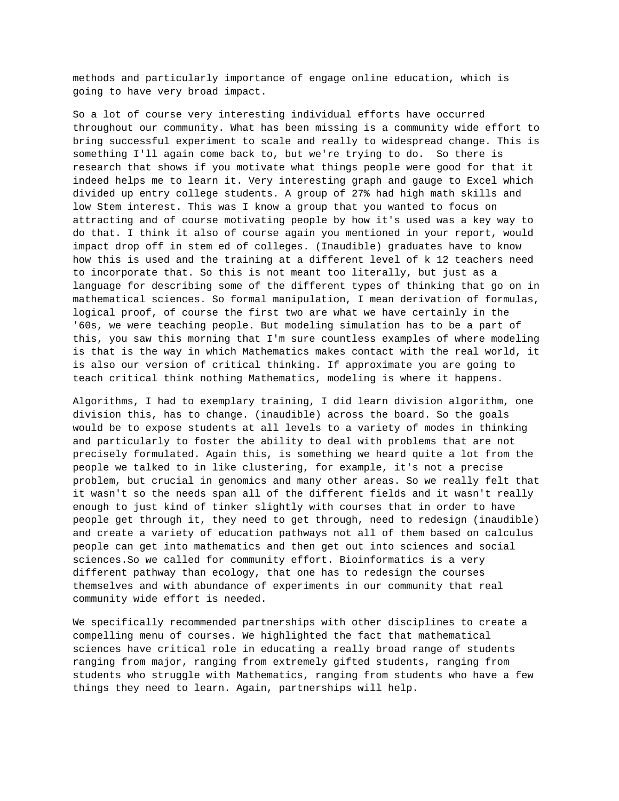methods and particularly importance of engage online education, which is going to have very broad impact.

So a lot of course very interesting individual efforts have occurred throughout our community. What has been missing is a community wide effort to bring successful experiment to scale and really to widespread change. This is something I'll again come back to, but we're trying to do. So there is research that shows if you motivate what things people were good for that it indeed helps me to learn it. Very interesting graph and gauge to Excel which divided up entry college students. A group of 27% had high math skills and low Stem interest. This was I know a group that you wanted to focus on attracting and of course motivating people by how it's used was a key way to do that. I think it also of course again you mentioned in your report, would impact drop off in stem ed of colleges. (Inaudible) graduates have to know how this is used and the training at a different level of k 12 teachers need to incorporate that. So this is not meant too literally, but just as a language for describing some of the different types of thinking that go on in mathematical sciences. So formal manipulation, I mean derivation of formulas, logical proof, of course the first two are what we have certainly in the '60s, we were teaching people. But modeling simulation has to be a part of this, you saw this morning that I'm sure countless examples of where modeling is that is the way in which Mathematics makes contact with the real world, it is also our version of critical thinking. If approximate you are going to teach critical think nothing Mathematics, modeling is where it happens.

Algorithms, I had to exemplary training, I did learn division algorithm, one division this, has to change. (inaudible) across the board. So the goals would be to expose students at all levels to a variety of modes in thinking and particularly to foster the ability to deal with problems that are not precisely formulated. Again this, is something we heard quite a lot from the people we talked to in like clustering, for example, it's not a precise problem, but crucial in genomics and many other areas. So we really felt that it wasn't so the needs span all of the different fields and it wasn't really enough to just kind of tinker slightly with courses that in order to have people get through it, they need to get through, need to redesign (inaudible) and create a variety of education pathways not all of them based on calculus people can get into mathematics and then get out into sciences and social sciences.So we called for community effort. Bioinformatics is a very different pathway than ecology, that one has to redesign the courses themselves and with abundance of experiments in our community that real community wide effort is needed.

We specifically recommended partnerships with other disciplines to create a compelling menu of courses. We highlighted the fact that mathematical sciences have critical role in educating a really broad range of students ranging from major, ranging from extremely gifted students, ranging from students who struggle with Mathematics, ranging from students who have a few things they need to learn. Again, partnerships will help.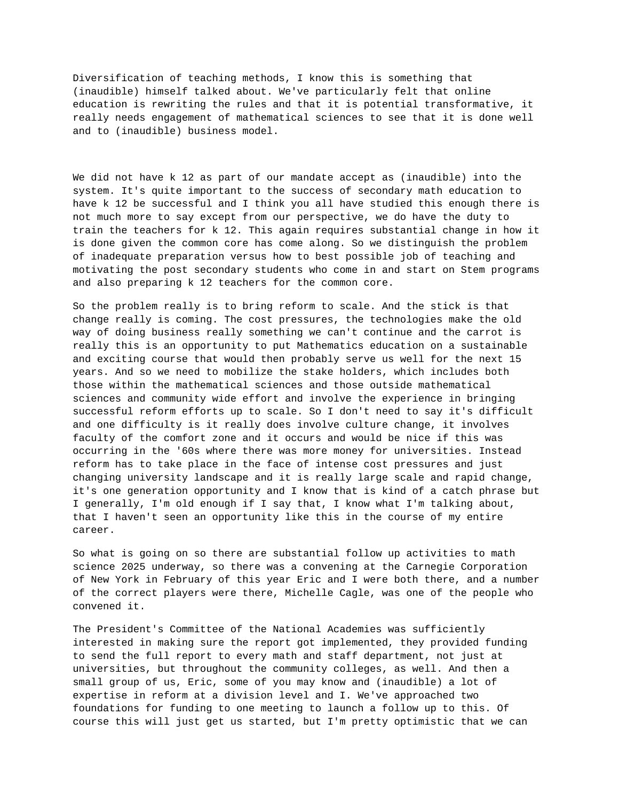Diversification of teaching methods, I know this is something that (inaudible) himself talked about. We've particularly felt that online education is rewriting the rules and that it is potential transformative, it really needs engagement of mathematical sciences to see that it is done well and to (inaudible) business model.

We did not have k 12 as part of our mandate accept as (inaudible) into the system. It's quite important to the success of secondary math education to have k 12 be successful and I think you all have studied this enough there is not much more to say except from our perspective, we do have the duty to train the teachers for k 12. This again requires substantial change in how it is done given the common core has come along. So we distinguish the problem of inadequate preparation versus how to best possible job of teaching and motivating the post secondary students who come in and start on Stem programs and also preparing k 12 teachers for the common core.

So the problem really is to bring reform to scale. And the stick is that change really is coming. The cost pressures, the technologies make the old way of doing business really something we can't continue and the carrot is really this is an opportunity to put Mathematics education on a sustainable and exciting course that would then probably serve us well for the next 15 years. And so we need to mobilize the stake holders, which includes both those within the mathematical sciences and those outside mathematical sciences and community wide effort and involve the experience in bringing successful reform efforts up to scale. So I don't need to say it's difficult and one difficulty is it really does involve culture change, it involves faculty of the comfort zone and it occurs and would be nice if this was occurring in the '60s where there was more money for universities. Instead reform has to take place in the face of intense cost pressures and just changing university landscape and it is really large scale and rapid change, it's one generation opportunity and I know that is kind of a catch phrase but I generally, I'm old enough if I say that, I know what I'm talking about, that I haven't seen an opportunity like this in the course of my entire career.

So what is going on so there are substantial follow up activities to math science 2025 underway, so there was a convening at the Carnegie Corporation of New York in February of this year Eric and I were both there, and a number of the correct players were there, Michelle Cagle, was one of the people who convened it.

The President's Committee of the National Academies was sufficiently interested in making sure the report got implemented, they provided funding to send the full report to every math and staff department, not just at universities, but throughout the community colleges, as well. And then a small group of us, Eric, some of you may know and (inaudible) a lot of expertise in reform at a division level and I. We've approached two foundations for funding to one meeting to launch a follow up to this. Of course this will just get us started, but I'm pretty optimistic that we can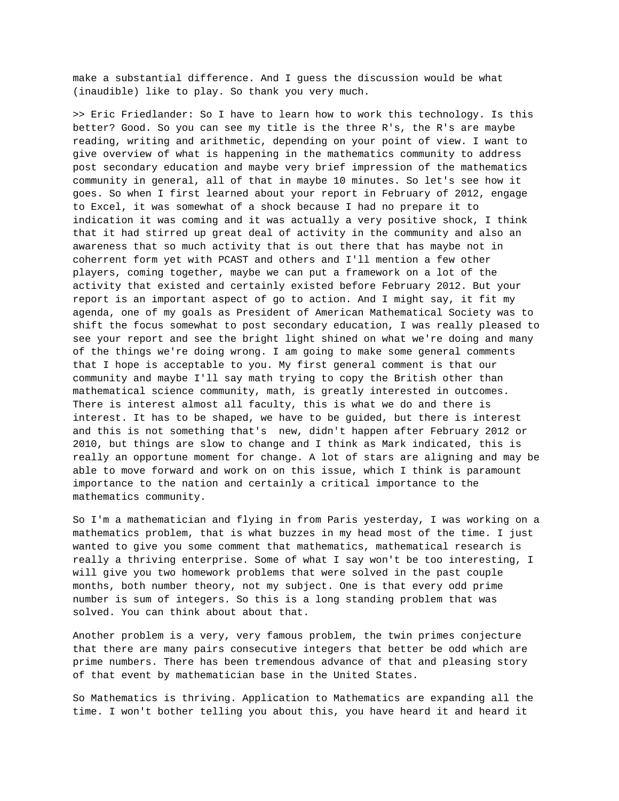make a substantial difference. And I guess the discussion would be what (inaudible) like to play. So thank you very much.

>> Eric Friedlander: So I have to learn how to work this technology. Is this better? Good. So you can see my title is the three R's, the R's are maybe reading, writing and arithmetic, depending on your point of view. I want to give overview of what is happening in the mathematics community to address post secondary education and maybe very brief impression of the mathematics community in general, all of that in maybe 10 minutes. So let's see how it goes. So when I first learned about your report in February of 2012, engage to Excel, it was somewhat of a shock because I had no prepare it to indication it was coming and it was actually a very positive shock, I think that it had stirred up great deal of activity in the community and also an awareness that so much activity that is out there that has maybe not in coherrent form yet with PCAST and others and I'll mention a few other players, coming together, maybe we can put a framework on a lot of the activity that existed and certainly existed before February 2012. But your report is an important aspect of go to action. And I might say, it fit my agenda, one of my goals as President of American Mathematical Society was to shift the focus somewhat to post secondary education, I was really pleased to see your report and see the bright light shined on what we're doing and many of the things we're doing wrong. I am going to make some general comments that I hope is acceptable to you. My first general comment is that our community and maybe I'll say math trying to copy the British other than mathematical science community, math, is greatly interested in outcomes. There is interest almost all faculty, this is what we do and there is interest. It has to be shaped, we have to be guided, but there is interest and this is not something that's new, didn't happen after February 2012 or 2010, but things are slow to change and I think as Mark indicated, this is really an opportune moment for change. A lot of stars are aligning and may be able to move forward and work on on this issue, which I think is paramount importance to the nation and certainly a critical importance to the mathematics community.

So I'm a mathematician and flying in from Paris yesterday, I was working on a mathematics problem, that is what buzzes in my head most of the time. I just wanted to give you some comment that mathematics, mathematical research is really a thriving enterprise. Some of what I say won't be too interesting, I will give you two homework problems that were solved in the past couple months, both number theory, not my subject. One is that every odd prime number is sum of integers. So this is a long standing problem that was solved. You can think about about that.

Another problem is a very, very famous problem, the twin primes conjecture that there are many pairs consecutive integers that better be odd which are prime numbers. There has been tremendous advance of that and pleasing story of that event by mathematician base in the United States.

So Mathematics is thriving. Application to Mathematics are expanding all the time. I won't bother telling you about this, you have heard it and heard it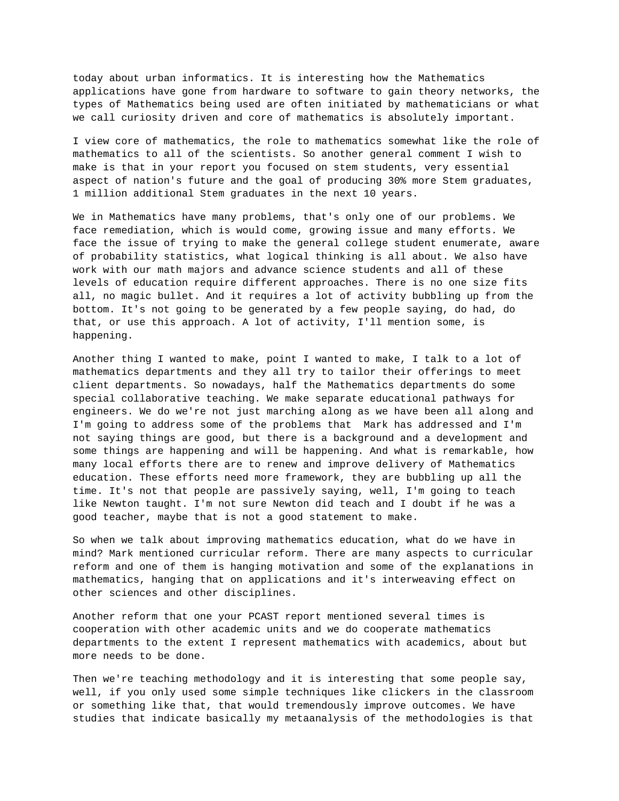today about urban informatics. It is interesting how the Mathematics applications have gone from hardware to software to gain theory networks, the types of Mathematics being used are often initiated by mathematicians or what we call curiosity driven and core of mathematics is absolutely important.

I view core of mathematics, the role to mathematics somewhat like the role of mathematics to all of the scientists. So another general comment I wish to make is that in your report you focused on stem students, very essential aspect of nation's future and the goal of producing 30% more Stem graduates, 1 million additional Stem graduates in the next 10 years.

We in Mathematics have many problems, that's only one of our problems. We face remediation, which is would come, growing issue and many efforts. We face the issue of trying to make the general college student enumerate, aware of probability statistics, what logical thinking is all about. We also have work with our math majors and advance science students and all of these levels of education require different approaches. There is no one size fits all, no magic bullet. And it requires a lot of activity bubbling up from the bottom. It's not going to be generated by a few people saying, do had, do that, or use this approach. A lot of activity, I'll mention some, is happening.

Another thing I wanted to make, point I wanted to make, I talk to a lot of mathematics departments and they all try to tailor their offerings to meet client departments. So nowadays, half the Mathematics departments do some special collaborative teaching. We make separate educational pathways for engineers. We do we're not just marching along as we have been all along and I'm going to address some of the problems that Mark has addressed and I'm not saying things are good, but there is a background and a development and some things are happening and will be happening. And what is remarkable, how many local efforts there are to renew and improve delivery of Mathematics education. These efforts need more framework, they are bubbling up all the time. It's not that people are passively saying, well, I'm going to teach like Newton taught. I'm not sure Newton did teach and I doubt if he was a good teacher, maybe that is not a good statement to make.

So when we talk about improving mathematics education, what do we have in mind? Mark mentioned curricular reform. There are many aspects to curricular reform and one of them is hanging motivation and some of the explanations in mathematics, hanging that on applications and it's interweaving effect on other sciences and other disciplines.

Another reform that one your PCAST report mentioned several times is cooperation with other academic units and we do cooperate mathematics departments to the extent I represent mathematics with academics, about but more needs to be done.

Then we're teaching methodology and it is interesting that some people say, well, if you only used some simple techniques like clickers in the classroom or something like that, that would tremendously improve outcomes. We have studies that indicate basically my metaanalysis of the methodologies is that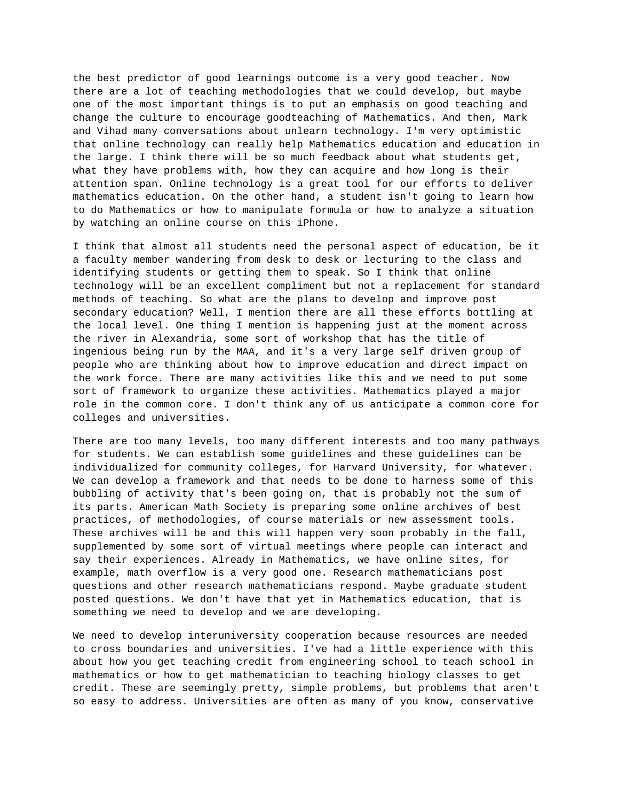the best predictor of good learnings outcome is a very good teacher. Now there are a lot of teaching methodologies that we could develop, but maybe one of the most important things is to put an emphasis on good teaching and change the culture to encourage goodteaching of Mathematics. And then, Mark and Vihad many conversations about unlearn technology. I'm very optimistic that online technology can really help Mathematics education and education in the large. I think there will be so much feedback about what students get, what they have problems with, how they can acquire and how long is their attention span. Online technology is a great tool for our efforts to deliver mathematics education. On the other hand, a student isn't going to learn how to do Mathematics or how to manipulate formula or how to analyze a situation by watching an online course on this iPhone.

I think that almost all students need the personal aspect of education, be it a faculty member wandering from desk to desk or lecturing to the class and identifying students or getting them to speak. So I think that online technology will be an excellent compliment but not a replacement for standard methods of teaching. So what are the plans to develop and improve post secondary education? Well, I mention there are all these efforts bottling at the local level. One thing I mention is happening just at the moment across the river in Alexandria, some sort of workshop that has the title of ingenious being run by the MAA, and it's a very large self driven group of people who are thinking about how to improve education and direct impact on the work force. There are many activities like this and we need to put some sort of framework to organize these activities. Mathematics played a major role in the common core. I don't think any of us anticipate a common core for colleges and universities.

There are too many levels, too many different interests and too many pathways for students. We can establish some guidelines and these guidelines can be individualized for community colleges, for Harvard University, for whatever. We can develop a framework and that needs to be done to harness some of this bubbling of activity that's been going on, that is probably not the sum of its parts. American Math Society is preparing some online archives of best practices, of methodologies, of course materials or new assessment tools. These archives will be and this will happen very soon probably in the fall, supplemented by some sort of virtual meetings where people can interact and say their experiences. Already in Mathematics, we have online sites, for example, math overflow is a very good one. Research mathematicians post questions and other research mathematicians respond. Maybe graduate student posted questions. We don't have that yet in Mathematics education, that is something we need to develop and we are developing.

We need to develop interuniversity cooperation because resources are needed to cross boundaries and universities. I've had a little experience with this about how you get teaching credit from engineering school to teach school in mathematics or how to get mathematician to teaching biology classes to get credit. These are seemingly pretty, simple problems, but problems that aren't so easy to address. Universities are often as many of you know, conservative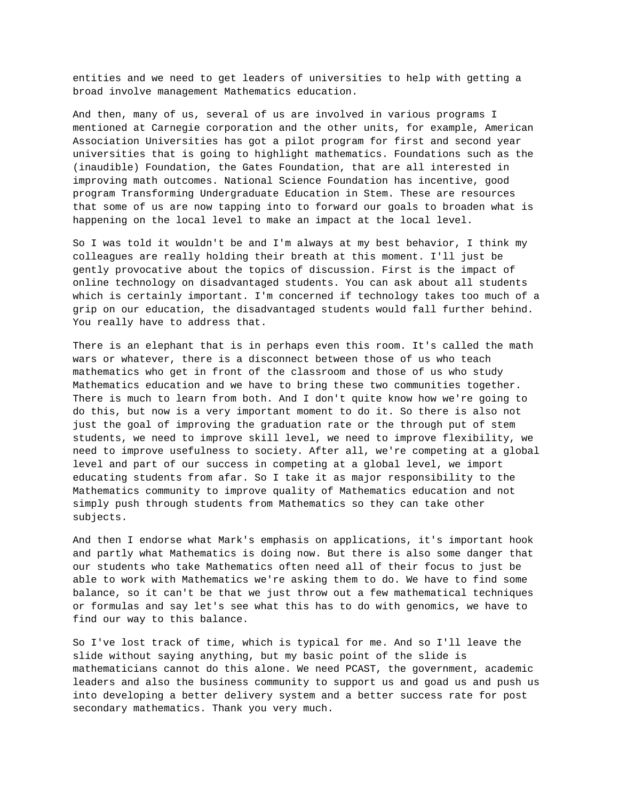entities and we need to get leaders of universities to help with getting a broad involve management Mathematics education.

And then, many of us, several of us are involved in various programs I mentioned at Carnegie corporation and the other units, for example, American Association Universities has got a pilot program for first and second year universities that is going to highlight mathematics. Foundations such as the (inaudible) Foundation, the Gates Foundation, that are all interested in improving math outcomes. National Science Foundation has incentive, good program Transforming Undergraduate Education in Stem. These are resources that some of us are now tapping into to forward our goals to broaden what is happening on the local level to make an impact at the local level.

So I was told it wouldn't be and I'm always at my best behavior, I think my colleagues are really holding their breath at this moment. I'll just be gently provocative about the topics of discussion. First is the impact of online technology on disadvantaged students. You can ask about all students which is certainly important. I'm concerned if technology takes too much of a grip on our education, the disadvantaged students would fall further behind. You really have to address that.

There is an elephant that is in perhaps even this room. It's called the math wars or whatever, there is a disconnect between those of us who teach mathematics who get in front of the classroom and those of us who study Mathematics education and we have to bring these two communities together. There is much to learn from both. And I don't quite know how we're going to do this, but now is a very important moment to do it. So there is also not just the goal of improving the graduation rate or the through put of stem students, we need to improve skill level, we need to improve flexibility, we need to improve usefulness to society. After all, we're competing at a global level and part of our success in competing at a global level, we import educating students from afar. So I take it as major responsibility to the Mathematics community to improve quality of Mathematics education and not simply push through students from Mathematics so they can take other subjects.

And then I endorse what Mark's emphasis on applications, it's important hook and partly what Mathematics is doing now. But there is also some danger that our students who take Mathematics often need all of their focus to just be able to work with Mathematics we're asking them to do. We have to find some balance, so it can't be that we just throw out a few mathematical techniques or formulas and say let's see what this has to do with genomics, we have to find our way to this balance.

So I've lost track of time, which is typical for me. And so I'll leave the slide without saying anything, but my basic point of the slide is mathematicians cannot do this alone. We need PCAST, the government, academic leaders and also the business community to support us and goad us and push us into developing a better delivery system and a better success rate for post secondary mathematics. Thank you very much.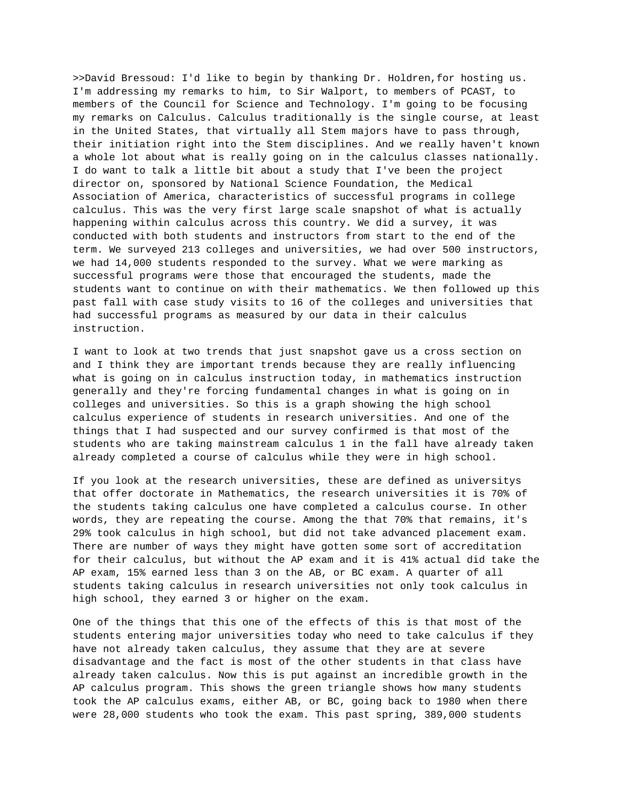>>David Bressoud: I'd like to begin by thanking Dr. Holdren,for hosting us. I'm addressing my remarks to him, to Sir Walport, to members of PCAST, to members of the Council for Science and Technology. I'm going to be focusing my remarks on Calculus. Calculus traditionally is the single course, at least in the United States, that virtually all Stem majors have to pass through, their initiation right into the Stem disciplines. And we really haven't known a whole lot about what is really going on in the calculus classes nationally. I do want to talk a little bit about a study that I've been the project director on, sponsored by National Science Foundation, the Medical Association of America, characteristics of successful programs in college calculus. This was the very first large scale snapshot of what is actually happening within calculus across this country. We did a survey, it was conducted with both students and instructors from start to the end of the term. We surveyed 213 colleges and universities, we had over 500 instructors, we had 14,000 students responded to the survey. What we were marking as successful programs were those that encouraged the students, made the students want to continue on with their mathematics. We then followed up this past fall with case study visits to 16 of the colleges and universities that had successful programs as measured by our data in their calculus instruction.

I want to look at two trends that just snapshot gave us a cross section on and I think they are important trends because they are really influencing what is going on in calculus instruction today, in mathematics instruction generally and they're forcing fundamental changes in what is going on in colleges and universities. So this is a graph showing the high school calculus experience of students in research universities. And one of the things that I had suspected and our survey confirmed is that most of the students who are taking mainstream calculus 1 in the fall have already taken already completed a course of calculus while they were in high school.

If you look at the research universities, these are defined as universitys that offer doctorate in Mathematics, the research universities it is 70% of the students taking calculus one have completed a calculus course. In other words, they are repeating the course. Among the that 70% that remains, it's 29% took calculus in high school, but did not take advanced placement exam. There are number of ways they might have gotten some sort of accreditation for their calculus, but without the AP exam and it is 41% actual did take the AP exam, 15% earned less than 3 on the AB, or BC exam. A quarter of all students taking calculus in research universities not only took calculus in high school, they earned 3 or higher on the exam.

One of the things that this one of the effects of this is that most of the students entering major universities today who need to take calculus if they have not already taken calculus, they assume that they are at severe disadvantage and the fact is most of the other students in that class have already taken calculus. Now this is put against an incredible growth in the AP calculus program. This shows the green triangle shows how many students took the AP calculus exams, either AB, or BC, going back to 1980 when there were 28,000 students who took the exam. This past spring, 389,000 students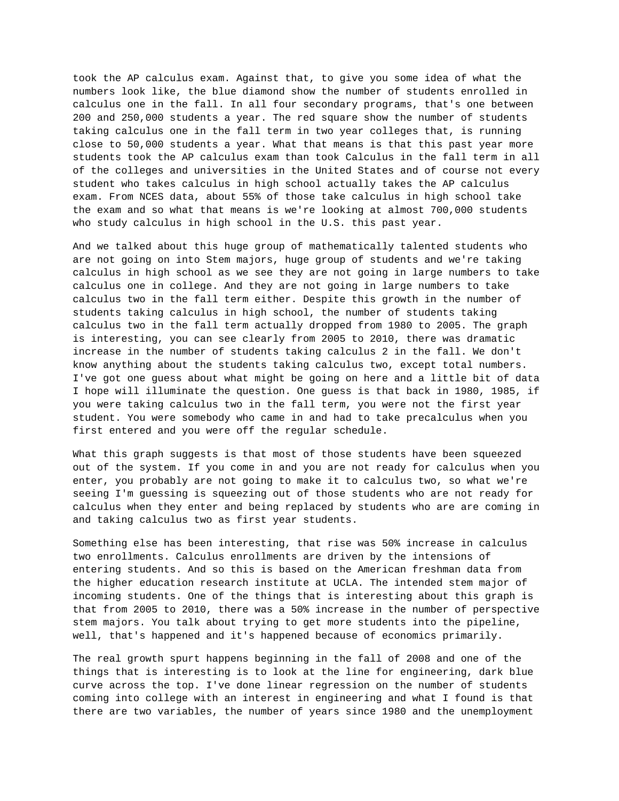took the AP calculus exam. Against that, to give you some idea of what the numbers look like, the blue diamond show the number of students enrolled in calculus one in the fall. In all four secondary programs, that's one between 200 and 250,000 students a year. The red square show the number of students taking calculus one in the fall term in two year colleges that, is running close to 50,000 students a year. What that means is that this past year more students took the AP calculus exam than took Calculus in the fall term in all of the colleges and universities in the United States and of course not every student who takes calculus in high school actually takes the AP calculus exam. From NCES data, about 55% of those take calculus in high school take the exam and so what that means is we're looking at almost 700,000 students who study calculus in high school in the U.S. this past year.

And we talked about this huge group of mathematically talented students who are not going on into Stem majors, huge group of students and we're taking calculus in high school as we see they are not going in large numbers to take calculus one in college. And they are not going in large numbers to take calculus two in the fall term either. Despite this growth in the number of students taking calculus in high school, the number of students taking calculus two in the fall term actually dropped from 1980 to 2005. The graph is interesting, you can see clearly from 2005 to 2010, there was dramatic increase in the number of students taking calculus 2 in the fall. We don't know anything about the students taking calculus two, except total numbers. I've got one guess about what might be going on here and a little bit of data I hope will illuminate the question. One guess is that back in 1980, 1985, if you were taking calculus two in the fall term, you were not the first year student. You were somebody who came in and had to take precalculus when you first entered and you were off the regular schedule.

What this graph suggests is that most of those students have been squeezed out of the system. If you come in and you are not ready for calculus when you enter, you probably are not going to make it to calculus two, so what we're seeing I'm guessing is squeezing out of those students who are not ready for calculus when they enter and being replaced by students who are are coming in and taking calculus two as first year students.

Something else has been interesting, that rise was 50% increase in calculus two enrollments. Calculus enrollments are driven by the intensions of entering students. And so this is based on the American freshman data from the higher education research institute at UCLA. The intended stem major of incoming students. One of the things that is interesting about this graph is that from 2005 to 2010, there was a 50% increase in the number of perspective stem majors. You talk about trying to get more students into the pipeline, well, that's happened and it's happened because of economics primarily.

The real growth spurt happens beginning in the fall of 2008 and one of the things that is interesting is to look at the line for engineering, dark blue curve across the top. I've done linear regression on the number of students coming into college with an interest in engineering and what I found is that there are two variables, the number of years since 1980 and the unemployment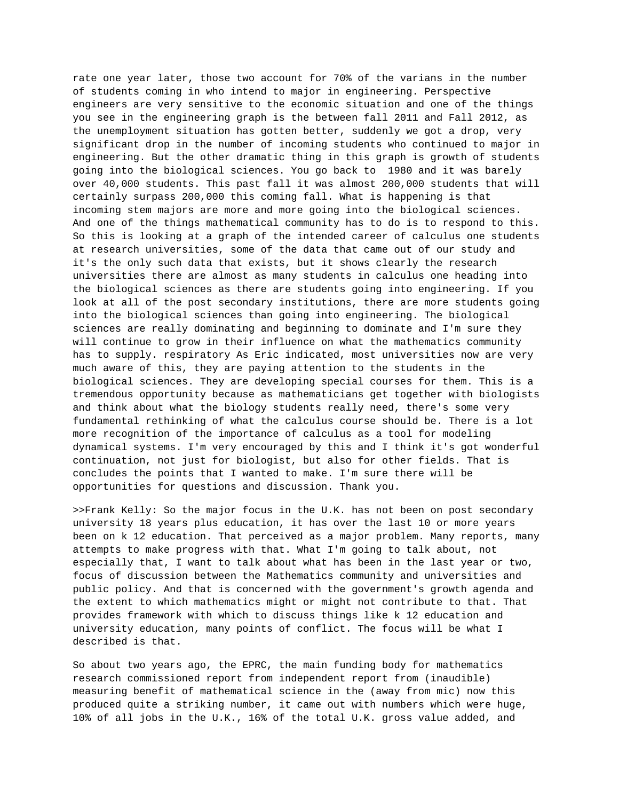rate one year later, those two account for 70% of the varians in the number of students coming in who intend to major in engineering. Perspective engineers are very sensitive to the economic situation and one of the things you see in the engineering graph is the between fall 2011 and Fall 2012, as the unemployment situation has gotten better, suddenly we got a drop, very significant drop in the number of incoming students who continued to major in engineering. But the other dramatic thing in this graph is growth of students going into the biological sciences. You go back to 1980 and it was barely over 40,000 students. This past fall it was almost 200,000 students that will certainly surpass 200,000 this coming fall. What is happening is that incoming stem majors are more and more going into the biological sciences. And one of the things mathematical community has to do is to respond to this. So this is looking at a graph of the intended career of calculus one students at research universities, some of the data that came out of our study and it's the only such data that exists, but it shows clearly the research universities there are almost as many students in calculus one heading into the biological sciences as there are students going into engineering. If you look at all of the post secondary institutions, there are more students going into the biological sciences than going into engineering. The biological sciences are really dominating and beginning to dominate and I'm sure they will continue to grow in their influence on what the mathematics community has to supply. respiratory As Eric indicated, most universities now are very much aware of this, they are paying attention to the students in the biological sciences. They are developing special courses for them. This is a tremendous opportunity because as mathematicians get together with biologists and think about what the biology students really need, there's some very fundamental rethinking of what the calculus course should be. There is a lot more recognition of the importance of calculus as a tool for modeling dynamical systems. I'm very encouraged by this and I think it's got wonderful continuation, not just for biologist, but also for other fields. That is concludes the points that I wanted to make. I'm sure there will be opportunities for questions and discussion. Thank you.

>>Frank Kelly: So the major focus in the U.K. has not been on post secondary university 18 years plus education, it has over the last 10 or more years been on k 12 education. That perceived as a major problem. Many reports, many attempts to make progress with that. What I'm going to talk about, not especially that, I want to talk about what has been in the last year or two, focus of discussion between the Mathematics community and universities and public policy. And that is concerned with the government's growth agenda and the extent to which mathematics might or might not contribute to that. That provides framework with which to discuss things like k 12 education and university education, many points of conflict. The focus will be what I described is that.

So about two years ago, the EPRC, the main funding body for mathematics research commissioned report from independent report from (inaudible) measuring benefit of mathematical science in the (away from mic) now this produced quite a striking number, it came out with numbers which were huge, 10% of all jobs in the U.K., 16% of the total U.K. gross value added, and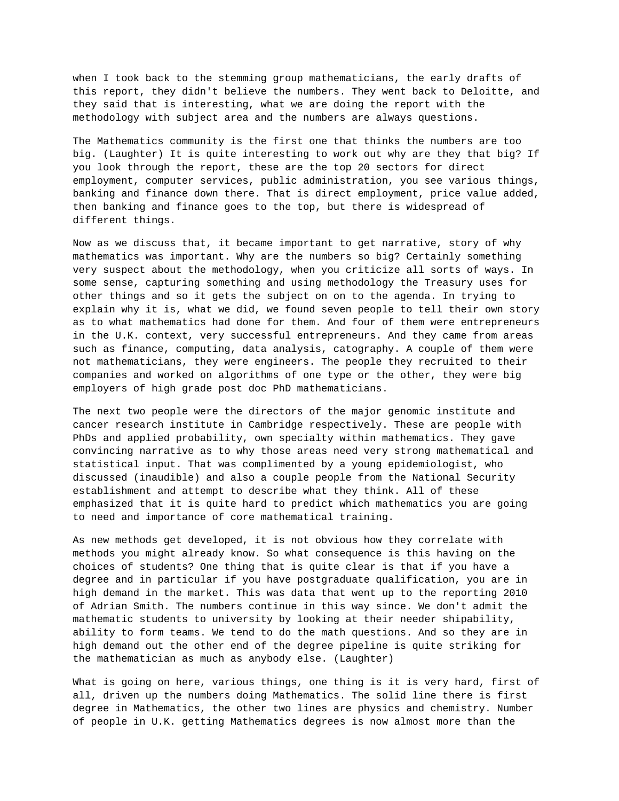when I took back to the stemming group mathematicians, the early drafts of this report, they didn't believe the numbers. They went back to Deloitte, and they said that is interesting, what we are doing the report with the methodology with subject area and the numbers are always questions.

The Mathematics community is the first one that thinks the numbers are too big. (Laughter) It is quite interesting to work out why are they that big? If you look through the report, these are the top 20 sectors for direct employment, computer services, public administration, you see various things, banking and finance down there. That is direct employment, price value added, then banking and finance goes to the top, but there is widespread of different things.

Now as we discuss that, it became important to get narrative, story of why mathematics was important. Why are the numbers so big? Certainly something very suspect about the methodology, when you criticize all sorts of ways. In some sense, capturing something and using methodology the Treasury uses for other things and so it gets the subject on on to the agenda. In trying to explain why it is, what we did, we found seven people to tell their own story as to what mathematics had done for them. And four of them were entrepreneurs in the U.K. context, very successful entrepreneurs. And they came from areas such as finance, computing, data analysis, catography. A couple of them were not mathematicians, they were engineers. The people they recruited to their companies and worked on algorithms of one type or the other, they were big employers of high grade post doc PhD mathematicians.

The next two people were the directors of the major genomic institute and cancer research institute in Cambridge respectively. These are people with PhDs and applied probability, own specialty within mathematics. They gave convincing narrative as to why those areas need very strong mathematical and statistical input. That was complimented by a young epidemiologist, who discussed (inaudible) and also a couple people from the National Security establishment and attempt to describe what they think. All of these emphasized that it is quite hard to predict which mathematics you are going to need and importance of core mathematical training.

As new methods get developed, it is not obvious how they correlate with methods you might already know. So what consequence is this having on the choices of students? One thing that is quite clear is that if you have a degree and in particular if you have postgraduate qualification, you are in high demand in the market. This was data that went up to the reporting 2010 of Adrian Smith. The numbers continue in this way since. We don't admit the mathematic students to university by looking at their needer shipability, ability to form teams. We tend to do the math questions. And so they are in high demand out the other end of the degree pipeline is quite striking for the mathematician as much as anybody else. (Laughter)

What is going on here, various things, one thing is it is very hard, first of all, driven up the numbers doing Mathematics. The solid line there is first degree in Mathematics, the other two lines are physics and chemistry. Number of people in U.K. getting Mathematics degrees is now almost more than the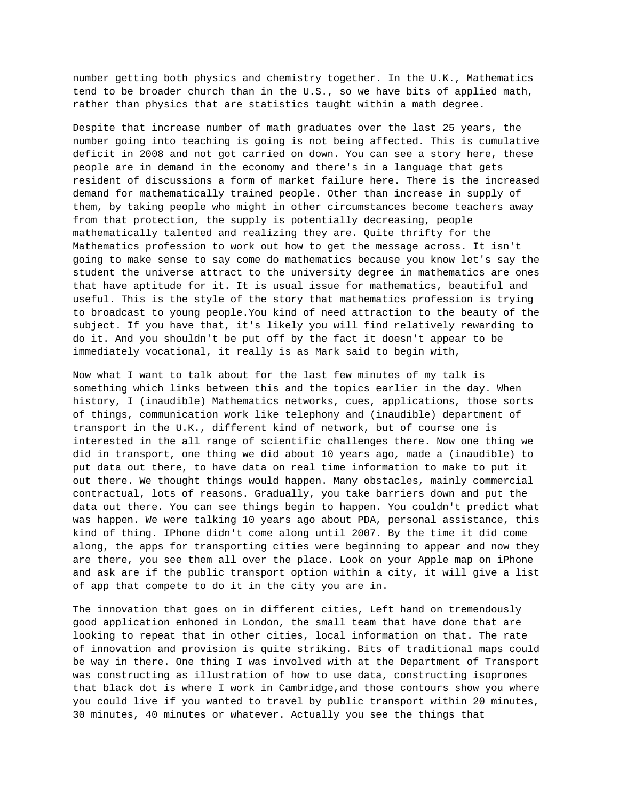number getting both physics and chemistry together. In the U.K., Mathematics tend to be broader church than in the U.S., so we have bits of applied math, rather than physics that are statistics taught within a math degree.

Despite that increase number of math graduates over the last 25 years, the number going into teaching is going is not being affected. This is cumulative deficit in 2008 and not got carried on down. You can see a story here, these people are in demand in the economy and there's in a language that gets resident of discussions a form of market failure here. There is the increased demand for mathematically trained people. Other than increase in supply of them, by taking people who might in other circumstances become teachers away from that protection, the supply is potentially decreasing, people mathematically talented and realizing they are. Quite thrifty for the Mathematics profession to work out how to get the message across. It isn't going to make sense to say come do mathematics because you know let's say the student the universe attract to the university degree in mathematics are ones that have aptitude for it. It is usual issue for mathematics, beautiful and useful. This is the style of the story that mathematics profession is trying to broadcast to young people.You kind of need attraction to the beauty of the subject. If you have that, it's likely you will find relatively rewarding to do it. And you shouldn't be put off by the fact it doesn't appear to be immediately vocational, it really is as Mark said to begin with,

Now what I want to talk about for the last few minutes of my talk is something which links between this and the topics earlier in the day. When history, I (inaudible) Mathematics networks, cues, applications, those sorts of things, communication work like telephony and (inaudible) department of transport in the U.K., different kind of network, but of course one is interested in the all range of scientific challenges there. Now one thing we did in transport, one thing we did about 10 years ago, made a (inaudible) to put data out there, to have data on real time information to make to put it out there. We thought things would happen. Many obstacles, mainly commercial contractual, lots of reasons. Gradually, you take barriers down and put the data out there. You can see things begin to happen. You couldn't predict what was happen. We were talking 10 years ago about PDA, personal assistance, this kind of thing. IPhone didn't come along until 2007. By the time it did come along, the apps for transporting cities were beginning to appear and now they are there, you see them all over the place. Look on your Apple map on iPhone and ask are if the public transport option within a city, it will give a list of app that compete to do it in the city you are in.

The innovation that goes on in different cities, Left hand on tremendously good application enhoned in London, the small team that have done that are looking to repeat that in other cities, local information on that. The rate of innovation and provision is quite striking. Bits of traditional maps could be way in there. One thing I was involved with at the Department of Transport was constructing as illustration of how to use data, constructing isoprones that black dot is where I work in Cambridge,and those contours show you where you could live if you wanted to travel by public transport within 20 minutes, 30 minutes, 40 minutes or whatever. Actually you see the things that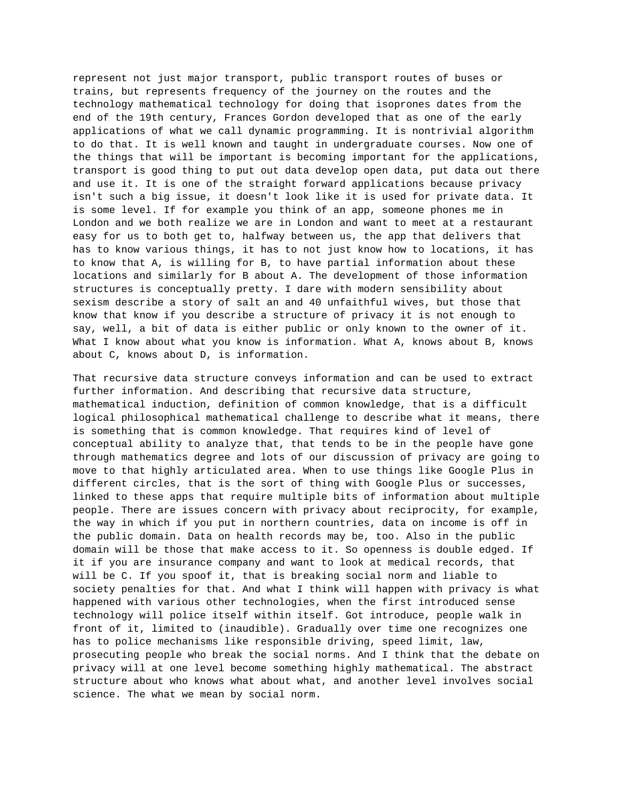represent not just major transport, public transport routes of buses or trains, but represents frequency of the journey on the routes and the technology mathematical technology for doing that isoprones dates from the end of the 19th century, Frances Gordon developed that as one of the early applications of what we call dynamic programming. It is nontrivial algorithm to do that. It is well known and taught in undergraduate courses. Now one of the things that will be important is becoming important for the applications, transport is good thing to put out data develop open data, put data out there and use it. It is one of the straight forward applications because privacy isn't such a big issue, it doesn't look like it is used for private data. It is some level. If for example you think of an app, someone phones me in London and we both realize we are in London and want to meet at a restaurant easy for us to both get to, halfway between us, the app that delivers that has to know various things, it has to not just know how to locations, it has to know that A, is willing for B, to have partial information about these locations and similarly for B about A. The development of those information structures is conceptually pretty. I dare with modern sensibility about sexism describe a story of salt an and 40 unfaithful wives, but those that know that know if you describe a structure of privacy it is not enough to say, well, a bit of data is either public or only known to the owner of it. What I know about what you know is information. What A, knows about B, knows about C, knows about D, is information.

That recursive data structure conveys information and can be used to extract further information. And describing that recursive data structure, mathematical induction, definition of common knowledge, that is a difficult logical philosophical mathematical challenge to describe what it means, there is something that is common knowledge. That requires kind of level of conceptual ability to analyze that, that tends to be in the people have gone through mathematics degree and lots of our discussion of privacy are going to move to that highly articulated area. When to use things like Google Plus in different circles, that is the sort of thing with Google Plus or successes, linked to these apps that require multiple bits of information about multiple people. There are issues concern with privacy about reciprocity, for example, the way in which if you put in northern countries, data on income is off in the public domain. Data on health records may be, too. Also in the public domain will be those that make access to it. So openness is double edged. If it if you are insurance company and want to look at medical records, that will be C. If you spoof it, that is breaking social norm and liable to society penalties for that. And what I think will happen with privacy is what happened with various other technologies, when the first introduced sense technology will police itself within itself. Got introduce, people walk in front of it, limited to (inaudible). Gradually over time one recognizes one has to police mechanisms like responsible driving, speed limit, law, prosecuting people who break the social norms. And I think that the debate on privacy will at one level become something highly mathematical. The abstract structure about who knows what about what, and another level involves social science. The what we mean by social norm.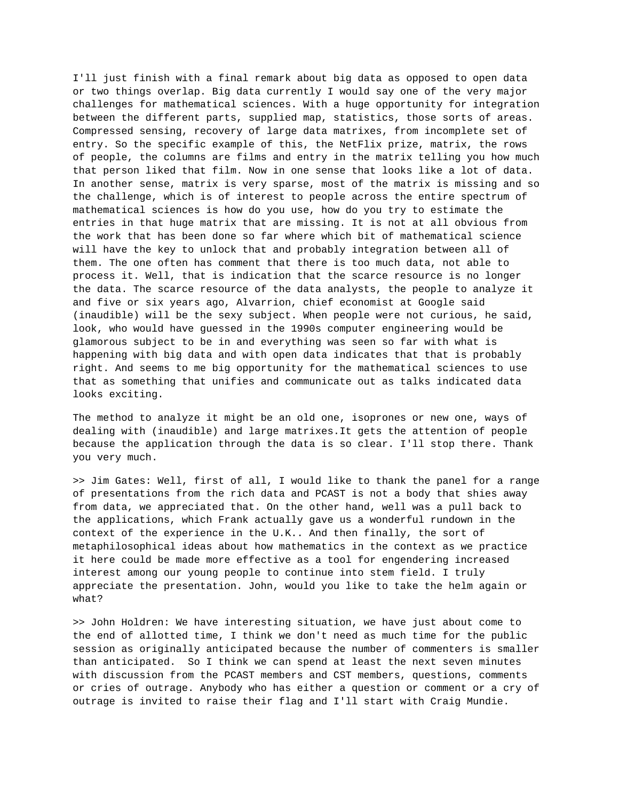I'll just finish with a final remark about big data as opposed to open data or two things overlap. Big data currently I would say one of the very major challenges for mathematical sciences. With a huge opportunity for integration between the different parts, supplied map, statistics, those sorts of areas. Compressed sensing, recovery of large data matrixes, from incomplete set of entry. So the specific example of this, the NetFlix prize, matrix, the rows of people, the columns are films and entry in the matrix telling you how much that person liked that film. Now in one sense that looks like a lot of data. In another sense, matrix is very sparse, most of the matrix is missing and so the challenge, which is of interest to people across the entire spectrum of mathematical sciences is how do you use, how do you try to estimate the entries in that huge matrix that are missing. It is not at all obvious from the work that has been done so far where which bit of mathematical science will have the key to unlock that and probably integration between all of them. The one often has comment that there is too much data, not able to process it. Well, that is indication that the scarce resource is no longer the data. The scarce resource of the data analysts, the people to analyze it and five or six years ago, Alvarrion, chief economist at Google said (inaudible) will be the sexy subject. When people were not curious, he said, look, who would have guessed in the 1990s computer engineering would be glamorous subject to be in and everything was seen so far with what is happening with big data and with open data indicates that that is probably right. And seems to me big opportunity for the mathematical sciences to use that as something that unifies and communicate out as talks indicated data looks exciting.

The method to analyze it might be an old one, isoprones or new one, ways of dealing with (inaudible) and large matrixes.It gets the attention of people because the application through the data is so clear. I'll stop there. Thank you very much.

>> Jim Gates: Well, first of all, I would like to thank the panel for a range of presentations from the rich data and PCAST is not a body that shies away from data, we appreciated that. On the other hand, well was a pull back to the applications, which Frank actually gave us a wonderful rundown in the context of the experience in the U.K.. And then finally, the sort of metaphilosophical ideas about how mathematics in the context as we practice it here could be made more effective as a tool for engendering increased interest among our young people to continue into stem field. I truly appreciate the presentation. John, would you like to take the helm again or what?

>> John Holdren: We have interesting situation, we have just about come to the end of allotted time, I think we don't need as much time for the public session as originally anticipated because the number of commenters is smaller than anticipated. So I think we can spend at least the next seven minutes with discussion from the PCAST members and CST members, questions, comments or cries of outrage. Anybody who has either a question or comment or a cry of outrage is invited to raise their flag and I'll start with Craig Mundie.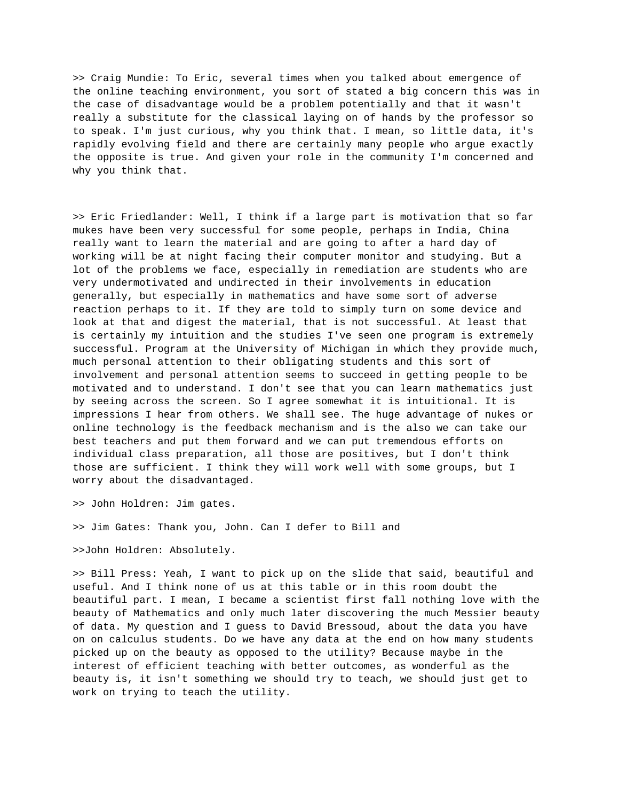>> Craig Mundie: To Eric, several times when you talked about emergence of the online teaching environment, you sort of stated a big concern this was in the case of disadvantage would be a problem potentially and that it wasn't really a substitute for the classical laying on of hands by the professor so to speak. I'm just curious, why you think that. I mean, so little data, it's rapidly evolving field and there are certainly many people who argue exactly the opposite is true. And given your role in the community I'm concerned and why you think that.

>> Eric Friedlander: Well, I think if a large part is motivation that so far mukes have been very successful for some people, perhaps in India, China really want to learn the material and are going to after a hard day of working will be at night facing their computer monitor and studying. But a lot of the problems we face, especially in remediation are students who are very undermotivated and undirected in their involvements in education generally, but especially in mathematics and have some sort of adverse reaction perhaps to it. If they are told to simply turn on some device and look at that and digest the material, that is not successful. At least that is certainly my intuition and the studies I've seen one program is extremely successful. Program at the University of Michigan in which they provide much, much personal attention to their obligating students and this sort of involvement and personal attention seems to succeed in getting people to be motivated and to understand. I don't see that you can learn mathematics just by seeing across the screen. So I agree somewhat it is intuitional. It is impressions I hear from others. We shall see. The huge advantage of nukes or online technology is the feedback mechanism and is the also we can take our best teachers and put them forward and we can put tremendous efforts on individual class preparation, all those are positives, but I don't think those are sufficient. I think they will work well with some groups, but I worry about the disadvantaged.

>> John Holdren: Jim gates.

>> Jim Gates: Thank you, John. Can I defer to Bill and

>>John Holdren: Absolutely.

>> Bill Press: Yeah, I want to pick up on the slide that said, beautiful and useful. And I think none of us at this table or in this room doubt the beautiful part. I mean, I became a scientist first fall nothing love with the beauty of Mathematics and only much later discovering the much Messier beauty of data. My question and I guess to David Bressoud, about the data you have on on calculus students. Do we have any data at the end on how many students picked up on the beauty as opposed to the utility? Because maybe in the interest of efficient teaching with better outcomes, as wonderful as the beauty is, it isn't something we should try to teach, we should just get to work on trying to teach the utility.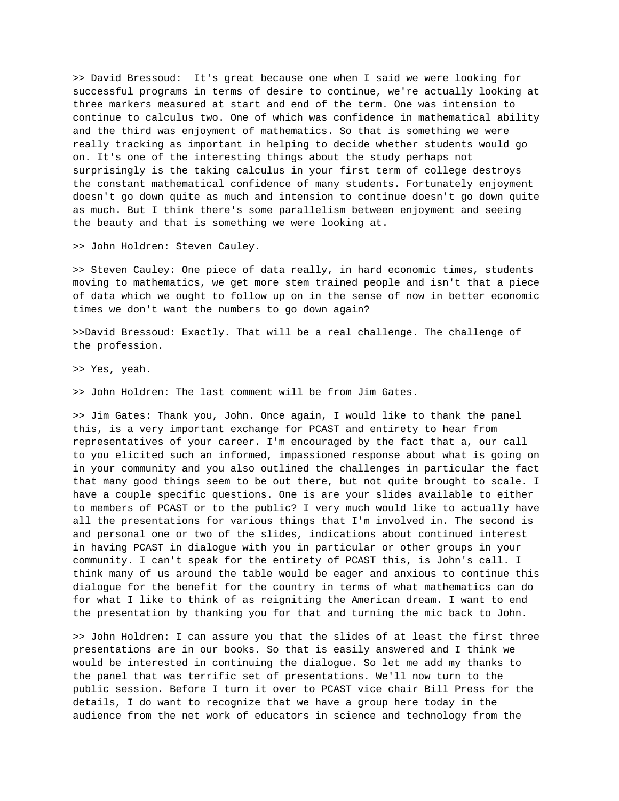>> David Bressoud: It's great because one when I said we were looking for successful programs in terms of desire to continue, we're actually looking at three markers measured at start and end of the term. One was intension to continue to calculus two. One of which was confidence in mathematical ability and the third was enjoyment of mathematics. So that is something we were really tracking as important in helping to decide whether students would go on. It's one of the interesting things about the study perhaps not surprisingly is the taking calculus in your first term of college destroys the constant mathematical confidence of many students. Fortunately enjoyment doesn't go down quite as much and intension to continue doesn't go down quite as much. But I think there's some parallelism between enjoyment and seeing the beauty and that is something we were looking at.

>> John Holdren: Steven Cauley.

>> Steven Cauley: One piece of data really, in hard economic times, students moving to mathematics, we get more stem trained people and isn't that a piece of data which we ought to follow up on in the sense of now in better economic times we don't want the numbers to go down again?

>>David Bressoud: Exactly. That will be a real challenge. The challenge of the profession.

>> Yes, yeah.

>> John Holdren: The last comment will be from Jim Gates.

>> Jim Gates: Thank you, John. Once again, I would like to thank the panel this, is a very important exchange for PCAST and entirety to hear from representatives of your career. I'm encouraged by the fact that a, our call to you elicited such an informed, impassioned response about what is going on in your community and you also outlined the challenges in particular the fact that many good things seem to be out there, but not quite brought to scale. I have a couple specific questions. One is are your slides available to either to members of PCAST or to the public? I very much would like to actually have all the presentations for various things that I'm involved in. The second is and personal one or two of the slides, indications about continued interest in having PCAST in dialogue with you in particular or other groups in your community. I can't speak for the entirety of PCAST this, is John's call. I think many of us around the table would be eager and anxious to continue this dialogue for the benefit for the country in terms of what mathematics can do for what I like to think of as reigniting the American dream. I want to end the presentation by thanking you for that and turning the mic back to John.

>> John Holdren: I can assure you that the slides of at least the first three presentations are in our books. So that is easily answered and I think we would be interested in continuing the dialogue. So let me add my thanks to the panel that was terrific set of presentations. We'll now turn to the public session. Before I turn it over to PCAST vice chair Bill Press for the details, I do want to recognize that we have a group here today in the audience from the net work of educators in science and technology from the